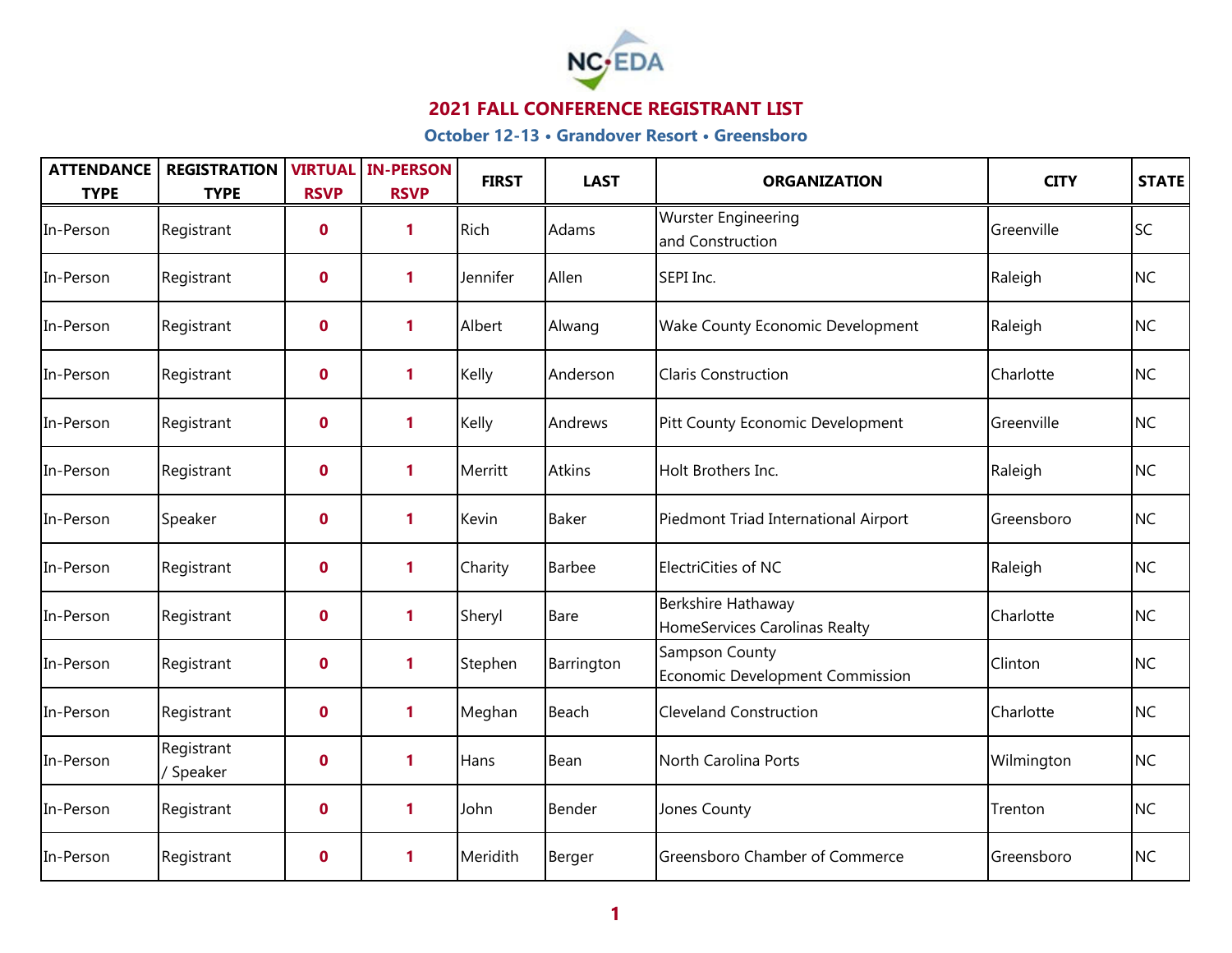

| <b>ATTENDANCE</b><br><b>TYPE</b> | <b>REGISTRATION</b><br><b>TYPE</b> | <b>RSVP</b> | <b>VIRTUAL IN-PERSON</b><br><b>RSVP</b> | <b>FIRST</b> | <b>LAST</b> | <b>ORGANIZATION</b>                                 | <b>CITY</b> | <b>STATE</b> |
|----------------------------------|------------------------------------|-------------|-----------------------------------------|--------------|-------------|-----------------------------------------------------|-------------|--------------|
| In-Person                        | Registrant                         | $\mathbf 0$ | 1                                       | Rich         | Adams       | <b>Wurster Engineering</b><br>and Construction      | Greenville  | <b>SC</b>    |
| In-Person                        | Registrant                         | $\mathbf 0$ | 1                                       | Jennifer     | Allen       | SEPI Inc.                                           | Raleigh     | <b>NC</b>    |
| In-Person                        | Registrant                         | $\mathbf 0$ | 1                                       | Albert       | Alwang      | <b>Wake County Economic Development</b>             | Raleigh     | <b>NC</b>    |
| In-Person                        | Registrant                         | $\mathbf 0$ | 1                                       | Kelly        | Anderson    | <b>Claris Construction</b>                          | Charlotte   | <b>NC</b>    |
| In-Person                        | Registrant                         | $\mathbf 0$ | 1                                       | Kelly        | Andrews     | Pitt County Economic Development                    | Greenville  | <b>NC</b>    |
| In-Person                        | Registrant                         | $\mathbf 0$ | 1                                       | Merritt      | Atkins      | Holt Brothers Inc.                                  | Raleigh     | <b>NC</b>    |
| In-Person                        | Speaker                            | $\mathbf 0$ | $\mathbf{1}$                            | Kevin        | Baker       | Piedmont Triad International Airport                | Greensboro  | <b>NC</b>    |
| In-Person                        | Registrant                         | $\mathbf 0$ | 1                                       | Charity      | Barbee      | ElectriCities of NC                                 | Raleigh     | <b>NC</b>    |
| In-Person                        | Registrant                         | $\mathbf 0$ | $\mathbf{1}$                            | Sheryl       | Bare        | Berkshire Hathaway<br>HomeServices Carolinas Realty | Charlotte   | <b>NC</b>    |
| In-Person                        | Registrant                         | $\mathbf 0$ | $\mathbf{1}$                            | Stephen      | Barrington  | Sampson County<br>Economic Development Commission   | Clinton     | <b>NC</b>    |
| In-Person                        | Registrant                         | $\mathbf 0$ | 1                                       | Meghan       | Beach       | <b>Cleveland Construction</b>                       | Charlotte   | <b>NC</b>    |
| In-Person                        | Registrant<br>/ Speaker            | $\mathbf 0$ | $\mathbf{1}$                            | Hans         | Bean        | North Carolina Ports                                | Wilmington  | <b>NC</b>    |
| In-Person                        | Registrant                         | $\mathbf 0$ | 1                                       | John         | Bender      | Jones County                                        | Trenton     | <b>NC</b>    |
| In-Person                        | Registrant                         | $\mathbf 0$ | 1                                       | Meridith     | Berger      | Greensboro Chamber of Commerce                      | Greensboro  | <b>NC</b>    |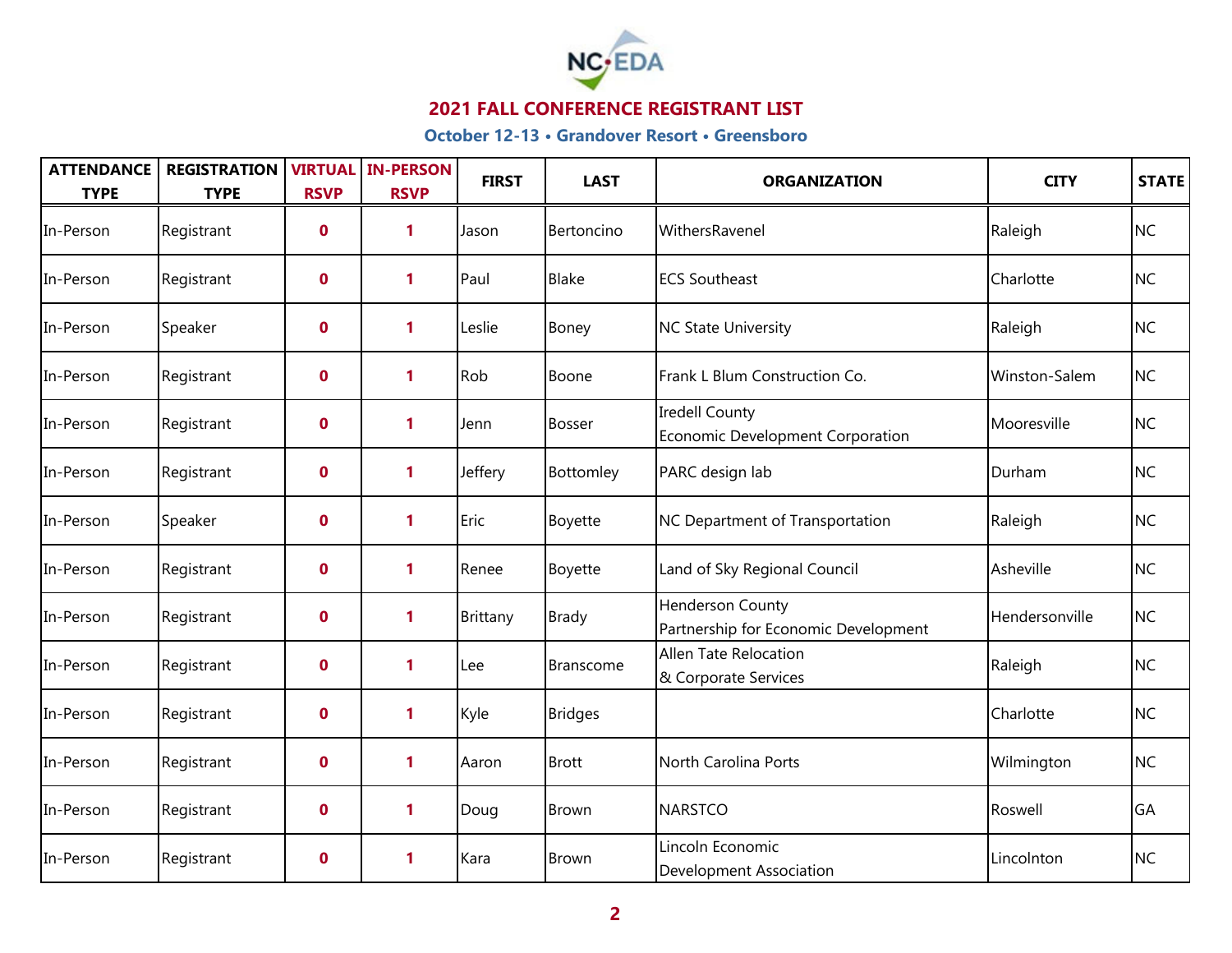

| <b>ATTENDANCE</b><br><b>TYPE</b> | <b>REGISTRATION</b><br><b>TYPE</b> | <b>RSVP</b> | <b>VIRTUAL IN-PERSON</b><br><b>RSVP</b> | <b>FIRST</b> | <b>LAST</b>    | <b>ORGANIZATION</b>                                             | <b>CITY</b>    | <b>STATE</b> |
|----------------------------------|------------------------------------|-------------|-----------------------------------------|--------------|----------------|-----------------------------------------------------------------|----------------|--------------|
| In-Person                        | Registrant                         | $\mathbf 0$ | 1                                       | Jason        | Bertoncino     | WithersRavenel                                                  | Raleigh        | <b>NC</b>    |
| In-Person                        | Registrant                         | $\mathbf 0$ | 1                                       | Paul         | <b>Blake</b>   | <b>ECS Southeast</b>                                            | Charlotte      | <b>NC</b>    |
| In-Person                        | Speaker                            | $\mathbf 0$ | 1                                       | Leslie       | Boney          | <b>NC State University</b>                                      | Raleigh        | <b>NC</b>    |
| In-Person                        | Registrant                         | $\mathbf 0$ | 1                                       | Rob          | Boone          | Frank L Blum Construction Co.                                   | Winston-Salem  | <b>NC</b>    |
| In-Person                        | Registrant                         | $\mathbf 0$ | 1                                       | Jenn         | <b>Bosser</b>  | <b>Iredell County</b><br>Economic Development Corporation       | Mooresville    | <b>NC</b>    |
| In-Person                        | Registrant                         | $\mathbf 0$ | 1                                       | Jeffery      | Bottomley      | PARC design lab                                                 | Durham         | <b>NC</b>    |
| In-Person                        | Speaker                            | $\mathbf 0$ | 1                                       | Eric         | Boyette        | NC Department of Transportation                                 | Raleigh        | <b>NC</b>    |
| In-Person                        | Registrant                         | $\mathbf 0$ | 1                                       | Renee        | Boyette        | Land of Sky Regional Council                                    | Asheville      | <b>NC</b>    |
| In-Person                        | Registrant                         | $\mathbf 0$ | 1                                       | Brittany     | <b>Brady</b>   | <b>Henderson County</b><br>Partnership for Economic Development | Hendersonville | <b>NC</b>    |
| In-Person                        | Registrant                         | $\mathbf 0$ | 1                                       | Lee          | Branscome      | Allen Tate Relocation<br>& Corporate Services                   | Raleigh        | <b>NC</b>    |
| In-Person                        | Registrant                         | $\mathbf 0$ | 1                                       | Kyle         | <b>Bridges</b> |                                                                 | Charlotte      | <b>NC</b>    |
| In-Person                        | Registrant                         | $\mathbf 0$ | 1                                       | Aaron        | <b>Brott</b>   | North Carolina Ports                                            | Wilmington     | <b>NC</b>    |
| In-Person                        | Registrant                         | $\mathbf 0$ | 1                                       | Doug         | <b>Brown</b>   | <b>NARSTCO</b>                                                  | Roswell        | GA           |
| In-Person                        | Registrant                         | $\mathbf 0$ | 1                                       | Kara         | <b>Brown</b>   | Lincoln Economic<br><b>Development Association</b>              | Lincolnton     | <b>NC</b>    |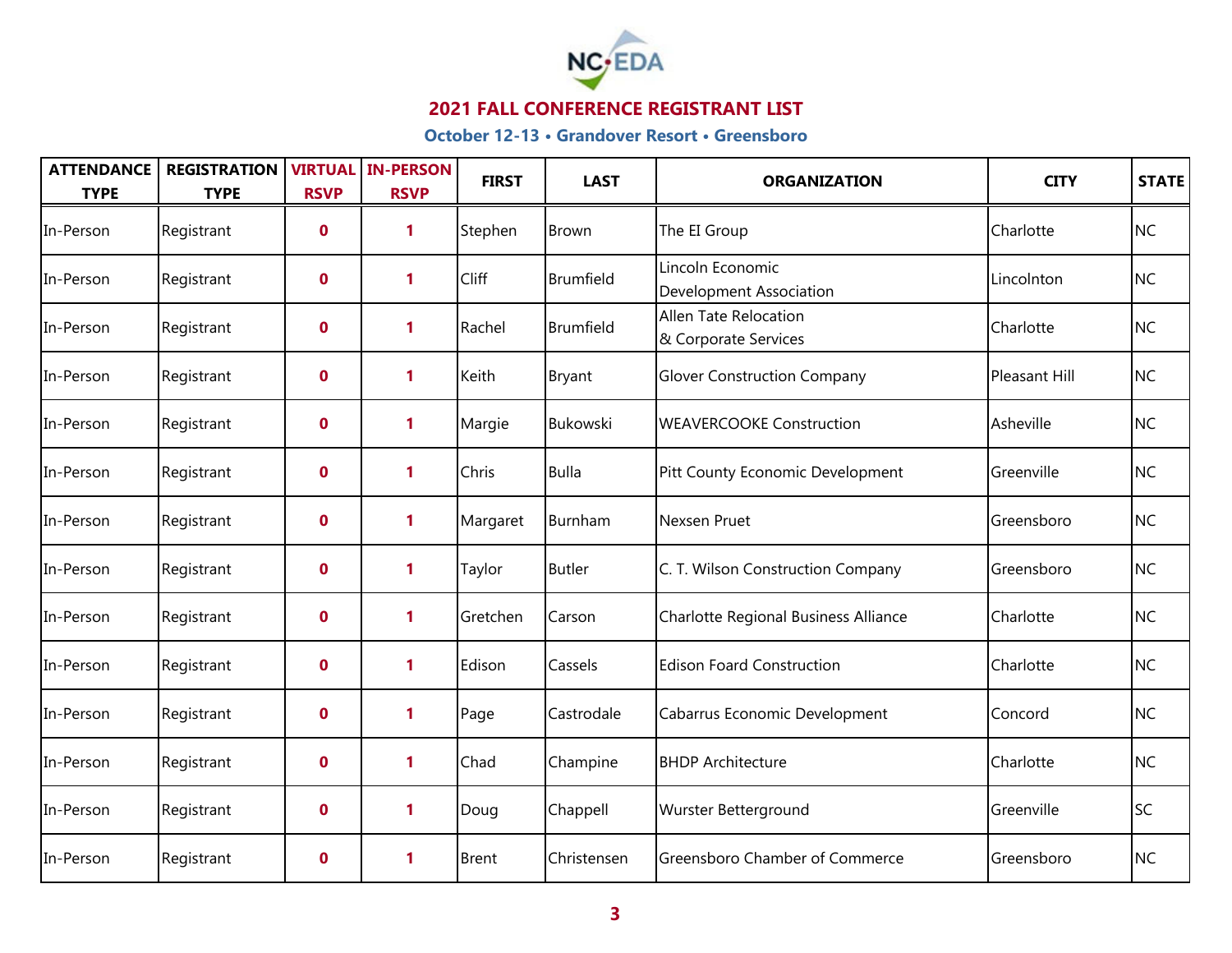

| <b>ATTENDANCE</b><br><b>TYPE</b> | <b>REGISTRATION</b><br><b>TYPE</b> | <b>VIRTUAL</b><br><b>RSVP</b> | <b>IN-PERSON</b><br><b>RSVP</b> | <b>FIRST</b> | <b>LAST</b>      | <b>ORGANIZATION</b>                           | <b>CITY</b>   | <b>STATE</b> |
|----------------------------------|------------------------------------|-------------------------------|---------------------------------|--------------|------------------|-----------------------------------------------|---------------|--------------|
| In-Person                        | Registrant                         | $\mathbf 0$                   | 1                               | Stephen      | <b>Brown</b>     | The EI Group                                  | Charlotte     | <b>NC</b>    |
| In-Person                        | Registrant                         | $\mathbf 0$                   | $\mathbf{1}$                    | Cliff        | <b>Brumfield</b> | Lincoln Economic<br>Development Association   | Lincolnton    | <b>NC</b>    |
| In-Person                        | Registrant                         | $\mathbf 0$                   | $\mathbf{1}$                    | Rachel       | <b>Brumfield</b> | Allen Tate Relocation<br>& Corporate Services | Charlotte     | <b>NC</b>    |
| In-Person                        | Registrant                         | $\mathbf 0$                   | $\mathbf{1}$                    | Keith        | Bryant           | <b>Glover Construction Company</b>            | Pleasant Hill | <b>NC</b>    |
| In-Person                        | Registrant                         | $\boldsymbol{0}$              | 1                               | Margie       | Bukowski         | <b>WEAVERCOOKE Construction</b>               | Asheville     | <b>NC</b>    |
| In-Person                        | Registrant                         | $\mathbf 0$                   | 1                               | Chris        | <b>Bulla</b>     | Pitt County Economic Development              | Greenville    | <b>NC</b>    |
| In-Person                        | Registrant                         | $\mathbf 0$                   | $\mathbf{1}$                    | Margaret     | Burnham          | Nexsen Pruet                                  | Greensboro    | <b>NC</b>    |
| In-Person                        | Registrant                         | $\mathbf 0$                   | 1                               | Taylor       | Butler           | C. T. Wilson Construction Company             | Greensboro    | <b>NC</b>    |
| In-Person                        | Registrant                         | $\mathbf 0$                   | 1                               | Gretchen     | Carson           | Charlotte Regional Business Alliance          | Charlotte     | <b>NC</b>    |
| In-Person                        | Registrant                         | $\mathbf 0$                   | 1                               | Edison       | Cassels          | <b>Edison Foard Construction</b>              | Charlotte     | <b>NC</b>    |
| In-Person                        | Registrant                         | $\mathbf 0$                   | 1                               | Page         | Castrodale       | Cabarrus Economic Development                 | Concord       | <b>NC</b>    |
| In-Person                        | Registrant                         | $\mathbf 0$                   | 1                               | Chad         | Champine         | <b>BHDP Architecture</b>                      | Charlotte     | <b>NC</b>    |
| In-Person                        | Registrant                         | $\mathbf 0$                   | 1                               | Doug         | Chappell         | Wurster Betterground                          | Greenville    | <b>SC</b>    |
| In-Person                        | Registrant                         | $\boldsymbol{0}$              | 1                               | <b>Brent</b> | Christensen      | Greensboro Chamber of Commerce                | Greensboro    | <b>NC</b>    |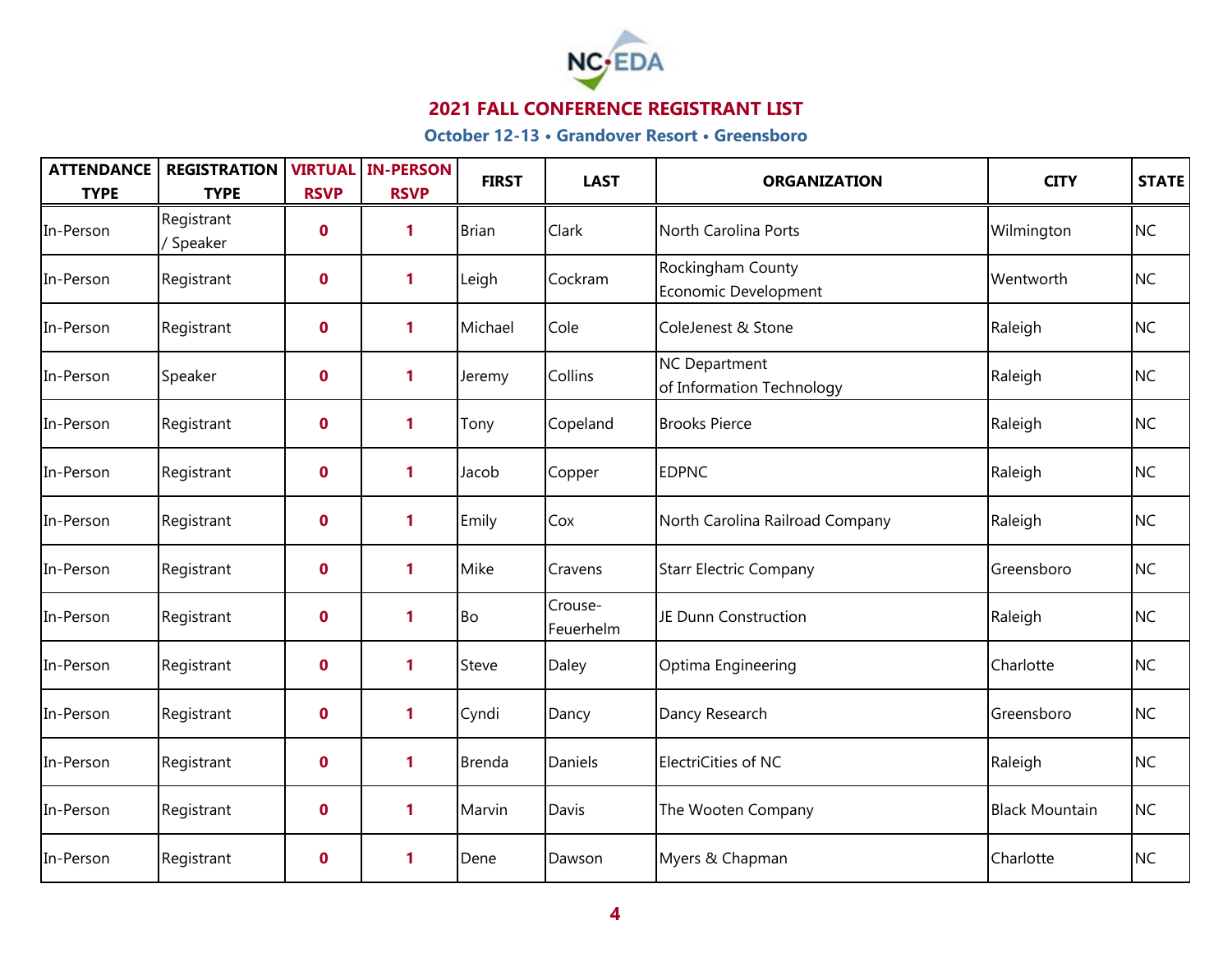

| <b>ATTENDANCE</b><br><b>TYPE</b> | <b>REGISTRATION</b><br><b>TYPE</b> | <b>RSVP</b> | <b>VIRTUAL IN-PERSON</b><br><b>RSVP</b> | <b>FIRST</b>  | <b>LAST</b>          | <b>ORGANIZATION</b>                        | <b>CITY</b>           | STATE     |
|----------------------------------|------------------------------------|-------------|-----------------------------------------|---------------|----------------------|--------------------------------------------|-----------------------|-----------|
| In-Person                        | Registrant<br>/ Speaker            | $\mathbf 0$ | 1                                       | <b>Brian</b>  | Clark                | North Carolina Ports                       | Wilmington            | <b>NC</b> |
| In-Person                        | Registrant                         | $\mathbf 0$ | 1                                       | Leigh         | Cockram              | Rockingham County<br>Economic Development  | Wentworth             | <b>NC</b> |
| In-Person                        | Registrant                         | $\mathbf 0$ | $\mathbf{1}$                            | Michael       | Cole                 | ColeJenest & Stone                         | Raleigh               | <b>NC</b> |
| In-Person                        | Speaker                            | $\mathbf 0$ | 1                                       | Jeremy        | Collins              | NC Department<br>of Information Technology | Raleigh               | <b>NC</b> |
| In-Person                        | Registrant                         | $\mathbf 0$ | 1                                       | Tony          | Copeland             | <b>Brooks Pierce</b>                       | Raleigh               | <b>NC</b> |
| In-Person                        | Registrant                         | $\mathbf 0$ | 1                                       | Jacob         | Copper               | <b>EDPNC</b>                               | Raleigh               | <b>NC</b> |
| In-Person                        | Registrant                         | $\mathbf 0$ | 1                                       | Emily         | Cox                  | North Carolina Railroad Company            | Raleigh               | <b>NC</b> |
| In-Person                        | Registrant                         | $\mathbf 0$ | 1                                       | Mike          | Cravens              | <b>Starr Electric Company</b>              | Greensboro            | <b>NC</b> |
| In-Person                        | Registrant                         | $\mathbf 0$ | 1                                       | Bo            | Crouse-<br>Feuerhelm | JE Dunn Construction                       | Raleigh               | <b>NC</b> |
| In-Person                        | Registrant                         | $\mathbf 0$ | 1                                       | Steve         | Daley                | Optima Engineering                         | Charlotte             | <b>NC</b> |
| In-Person                        | Registrant                         | $\mathbf 0$ | 1                                       | Cyndi         | Dancy                | Dancy Research                             | Greensboro            | <b>NC</b> |
| In-Person                        | Registrant                         | $\mathbf 0$ | $\mathbf{1}$                            | <b>Brenda</b> | Daniels              | ElectriCities of NC                        | Raleigh               | <b>NC</b> |
| In-Person                        | Registrant                         | $\mathbf 0$ | 1                                       | Marvin        | Davis                | The Wooten Company                         | <b>Black Mountain</b> | <b>NC</b> |
| In-Person                        | Registrant                         | $\mathbf 0$ | 1                                       | Dene          | Dawson               | Myers & Chapman                            | Charlotte             | <b>NC</b> |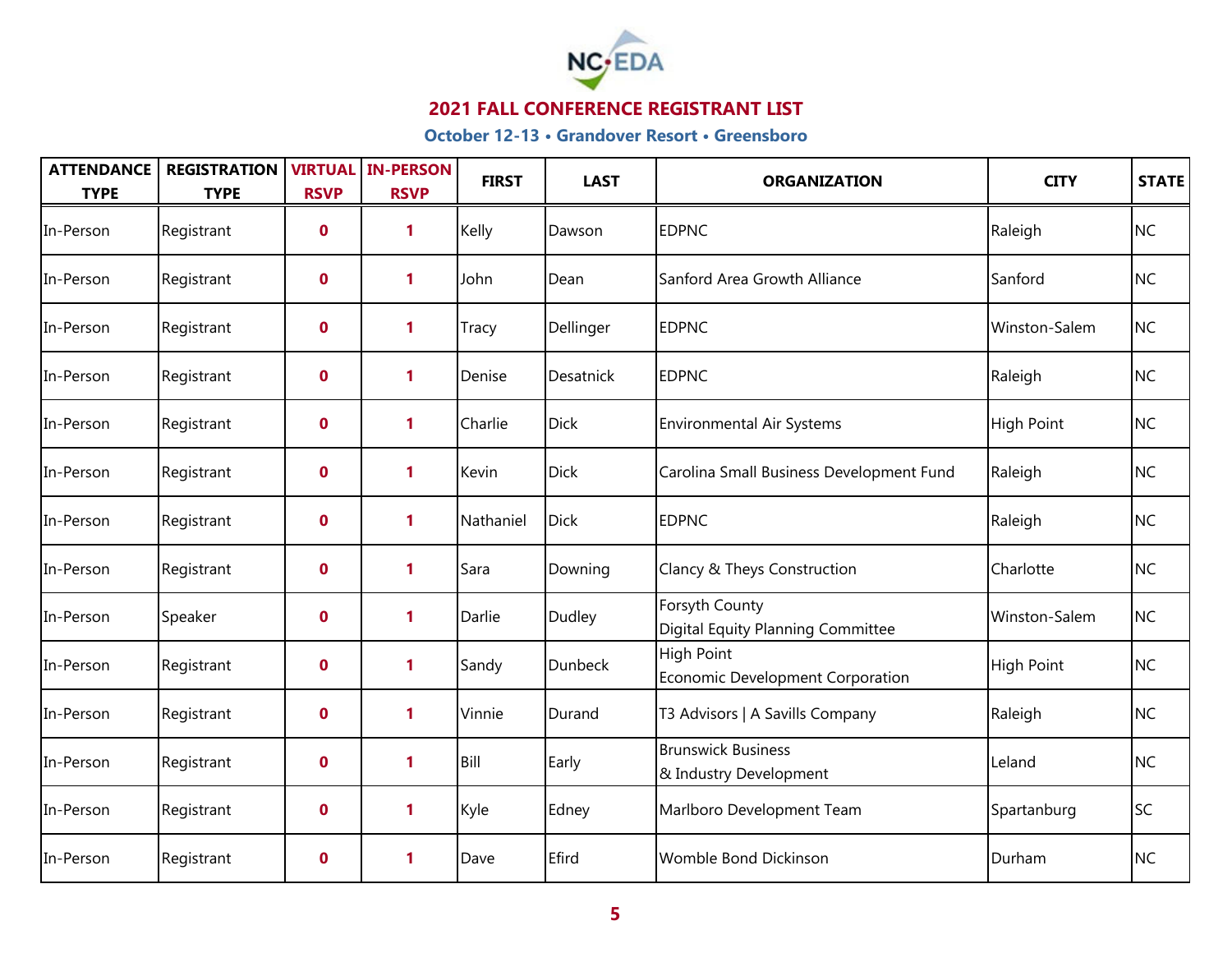

| <b>ATTENDANCE</b><br><b>TYPE</b> | <b>REGISTRATION</b><br><b>TYPE</b> | <b>VIRTUAL</b><br><b>RSVP</b> | <b>IN-PERSON</b><br><b>RSVP</b> | <b>FIRST</b> | <b>LAST</b>    | <b>ORGANIZATION</b>                                   | <b>CITY</b>       | <b>STATE</b> |
|----------------------------------|------------------------------------|-------------------------------|---------------------------------|--------------|----------------|-------------------------------------------------------|-------------------|--------------|
| In-Person                        | Registrant                         | $\mathbf 0$                   | 1                               | Kelly        | Dawson         | <b>EDPNC</b>                                          | Raleigh           | <b>NC</b>    |
| In-Person                        | Registrant                         | $\mathbf 0$                   | 1                               | John         | Dean           | Sanford Area Growth Alliance                          | Sanford           | <b>NC</b>    |
| In-Person                        | Registrant                         | $\mathbf 0$                   | 1                               | Tracy        | Dellinger      | <b>EDPNC</b>                                          | Winston-Salem     | <b>NC</b>    |
| In-Person                        | Registrant                         | $\mathbf 0$                   | 1                               | Denise       | Desatnick      | <b>EDPNC</b>                                          | Raleigh           | <b>NC</b>    |
| In-Person                        | Registrant                         | $\mathbf 0$                   | $\mathbf{1}$                    | Charlie      | <b>Dick</b>    | <b>Environmental Air Systems</b>                      | High Point        | <b>NC</b>    |
| In-Person                        | Registrant                         | $\mathbf 0$                   | 1                               | Kevin        | <b>Dick</b>    | Carolina Small Business Development Fund              | Raleigh           | <b>NC</b>    |
| In-Person                        | Registrant                         | $\mathbf 0$                   | 1                               | Nathaniel    | <b>Dick</b>    | <b>EDPNC</b>                                          | Raleigh           | <b>NC</b>    |
| In-Person                        | Registrant                         | $\mathbf 0$                   | 1                               | Sara         | Downing        | Clancy & Theys Construction                           | Charlotte         | <b>NC</b>    |
| In-Person                        | Speaker                            | $\mathbf 0$                   | 1                               | Darlie       | Dudley         | Forsyth County<br>Digital Equity Planning Committee   | Winston-Salem     | <b>NC</b>    |
| In-Person                        | Registrant                         | $\mathbf 0$                   | $\mathbf{1}$                    | Sandy        | <b>Dunbeck</b> | <b>High Point</b><br>Economic Development Corporation | <b>High Point</b> | <b>NC</b>    |
| In-Person                        | Registrant                         | $\mathbf 0$                   | 1                               | Vinnie       | Durand         | T3 Advisors   A Savills Company                       | Raleigh           | <b>NC</b>    |
| In-Person                        | Registrant                         | $\mathbf 0$                   | 1                               | Bill         | Early          | <b>Brunswick Business</b><br>& Industry Development   | Leland            | <b>NC</b>    |
| In-Person                        | Registrant                         | $\mathbf 0$                   | 1                               | Kyle         | Edney          | Marlboro Development Team                             | Spartanburg       | <b>SC</b>    |
| In-Person                        | Registrant                         | $\mathbf 0$                   | 1                               | Dave         | Efird          | Womble Bond Dickinson                                 | Durham            | <b>NC</b>    |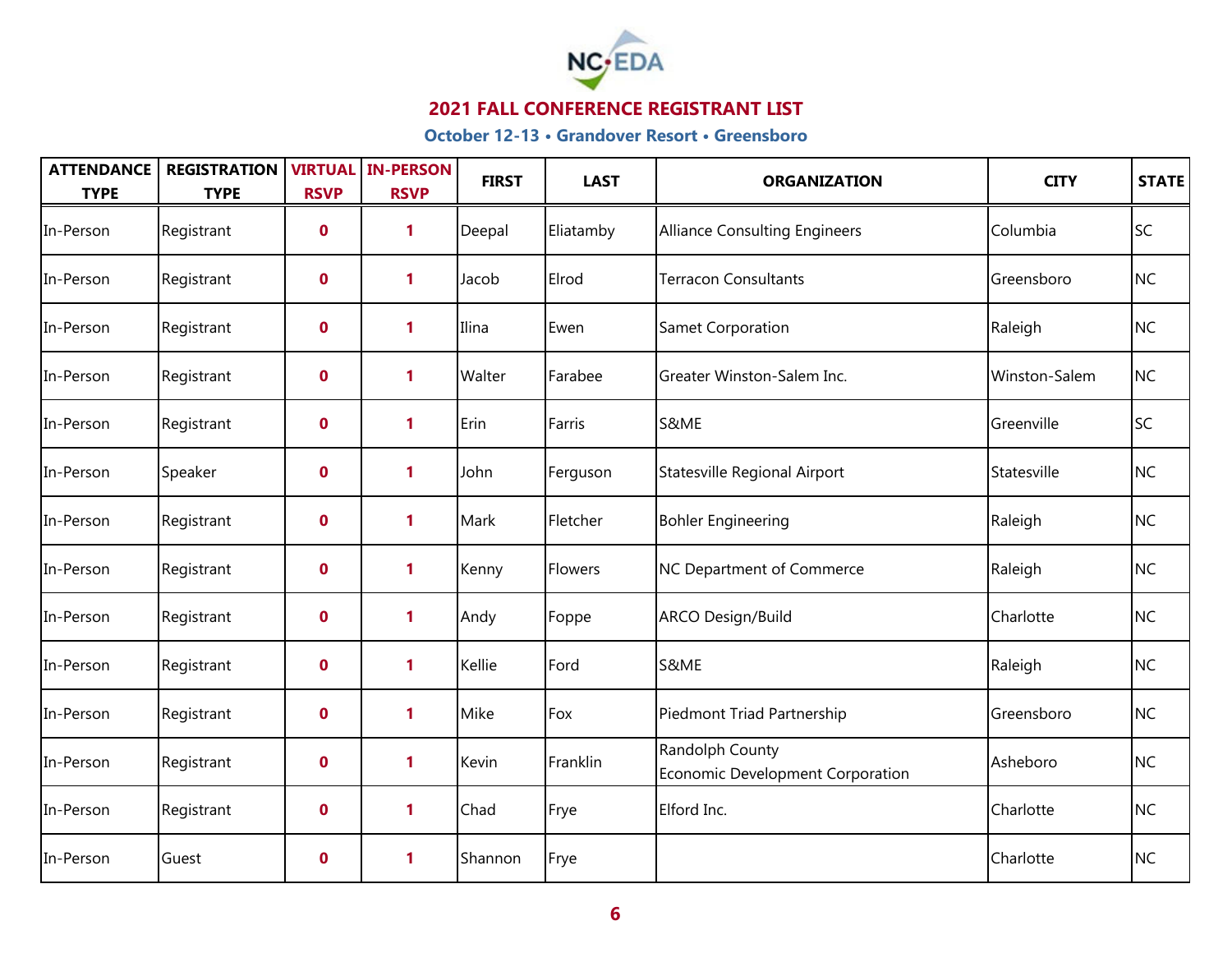

| <b>ATTENDANCE</b><br><b>TYPE</b> | <b>REGISTRATION</b><br><b>TYPE</b> | <b>RSVP</b>      | <b>VIRTUAL IN-PERSON</b><br><b>RSVP</b> | <b>FIRST</b> | <b>LAST</b> | <b>ORGANIZATION</b>                                 | <b>CITY</b>   | STATE     |
|----------------------------------|------------------------------------|------------------|-----------------------------------------|--------------|-------------|-----------------------------------------------------|---------------|-----------|
| In-Person                        | Registrant                         | $\boldsymbol{0}$ | 1                                       | Deepal       | Eliatamby   | <b>Alliance Consulting Engineers</b>                | Columbia      | <b>SC</b> |
| In-Person                        | Registrant                         | $\mathbf 0$      | 1                                       | Jacob        | Elrod       | <b>Terracon Consultants</b>                         | Greensboro    | <b>NC</b> |
| In-Person                        | Registrant                         | $\mathbf 0$      | $\mathbf{1}$                            | Ilina        | Ewen        | Samet Corporation                                   | Raleigh       | <b>NC</b> |
| In-Person                        | Registrant                         | $\mathbf 0$      | 1                                       | Walter       | Farabee     | Greater Winston-Salem Inc.                          | Winston-Salem | <b>NC</b> |
| In-Person                        | Registrant                         | $\boldsymbol{0}$ | 1                                       | Erin         | Farris      | S&ME                                                | Greenville    | <b>SC</b> |
| In-Person                        | Speaker                            | $\mathbf 0$      | 1                                       | John         | Ferguson    | Statesville Regional Airport                        | Statesville   | <b>NC</b> |
| In-Person                        | Registrant                         | $\mathbf 0$      | 1                                       | Mark         | Fletcher    | <b>Bohler Engineering</b>                           | Raleigh       | <b>NC</b> |
| In-Person                        | Registrant                         | $\mathbf 0$      | 1                                       | Kenny        | Flowers     | NC Department of Commerce                           | Raleigh       | <b>NC</b> |
| In-Person                        | Registrant                         | $\mathbf 0$      | 1                                       | Andy         | Foppe       | ARCO Design/Build                                   | Charlotte     | <b>NC</b> |
| In-Person                        | Registrant                         | $\mathbf 0$      | 1                                       | Kellie       | Ford        | S&ME                                                | Raleigh       | <b>NC</b> |
| In-Person                        | Registrant                         | $\boldsymbol{0}$ | 1                                       | Mike         | Fox         | Piedmont Triad Partnership                          | Greensboro    | <b>NC</b> |
| In-Person                        | Registrant                         | $\mathbf 0$      | 1                                       | Kevin        | Franklin    | Randolph County<br>Economic Development Corporation | Asheboro      | <b>NC</b> |
| In-Person                        | Registrant                         | $\mathbf 0$      | 1                                       | Chad         | Frye        | Elford Inc.                                         | Charlotte     | <b>NC</b> |
| In-Person                        | Guest                              | $\mathbf 0$      | 1                                       | Shannon      | Frye        |                                                     | Charlotte     | <b>NC</b> |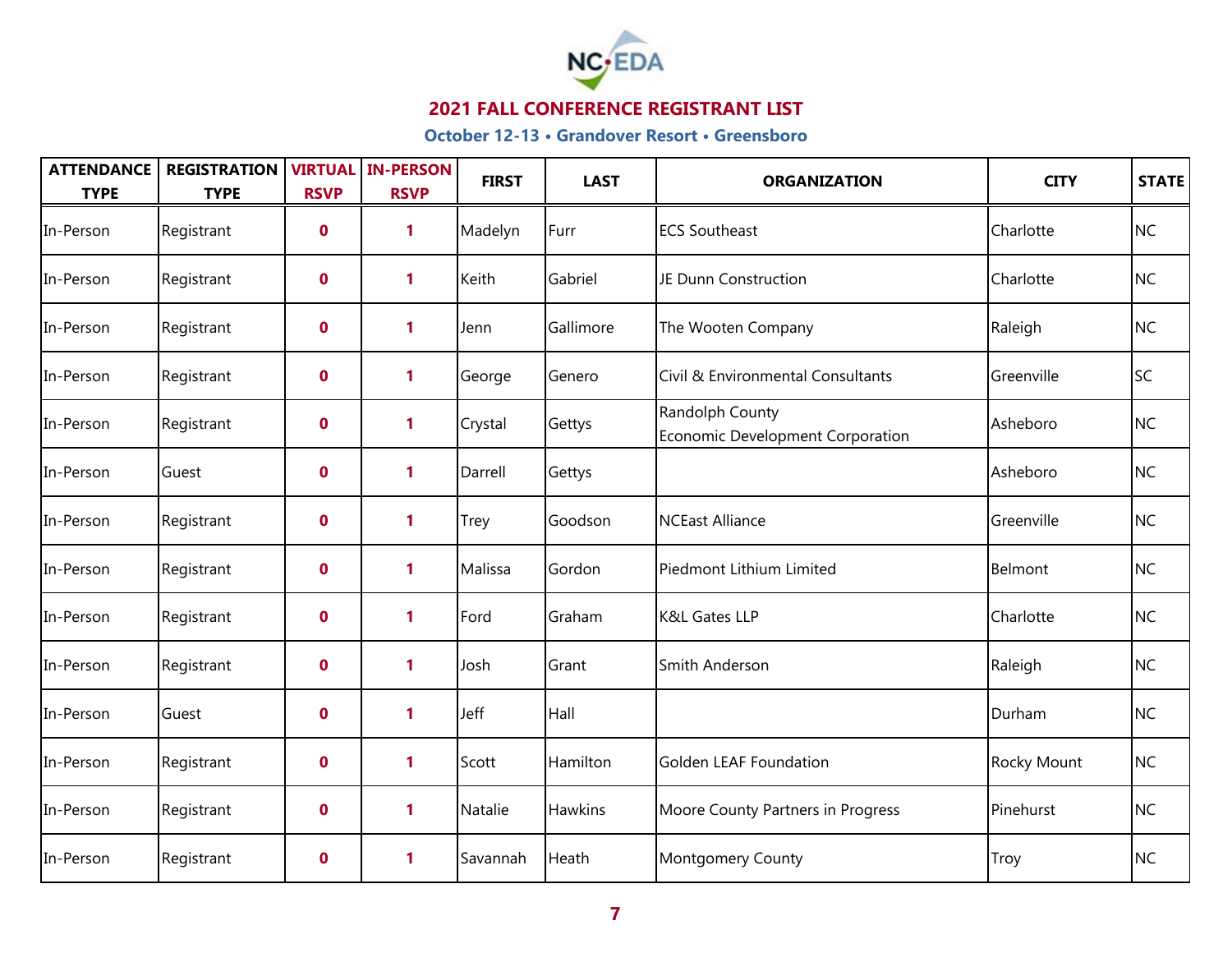

| <b>ATTENDANCE</b><br><b>TYPE</b> | <b>REGISTRATION</b><br><b>TYPE</b> | <b>RSVP</b> | <b>VIRTUAL IN-PERSON</b><br><b>RSVP</b> | <b>FIRST</b> | <b>LAST</b> | <b>ORGANIZATION</b>                                        | <b>CITY</b> | <b>STATE</b> |
|----------------------------------|------------------------------------|-------------|-----------------------------------------|--------------|-------------|------------------------------------------------------------|-------------|--------------|
| In-Person                        | Registrant                         | $\mathbf 0$ | $\mathbf{1}$                            | Madelyn      | Furr        | <b>ECS Southeast</b>                                       | Charlotte   | <b>NC</b>    |
| In-Person                        | Registrant                         | $\mathbf 0$ | 1                                       | Keith        | Gabriel     | JE Dunn Construction                                       | Charlotte   | <b>NC</b>    |
| In-Person                        | Registrant                         | $\mathbf 0$ | $\mathbf{1}$                            | Jenn         | Gallimore   | The Wooten Company                                         | Raleigh     | <b>NC</b>    |
| In-Person                        | Registrant                         | $\mathbf 0$ | $\mathbf{1}$                            | George       | Genero      | Civil & Environmental Consultants                          | Greenville  | <b>SC</b>    |
| In-Person                        | Registrant                         | $\mathbf 0$ | $\mathbf{1}$                            | Crystal      | Gettys      | Randolph County<br><b>Economic Development Corporation</b> | Asheboro    | <b>NC</b>    |
| In-Person                        | Guest                              | $\mathbf 0$ | 1                                       | Darrell      | Gettys      |                                                            | Asheboro    | <b>NC</b>    |
| In-Person                        | Registrant                         | $\mathbf 0$ | 1                                       | Trey         | Goodson     | <b>NCEast Alliance</b>                                     | Greenville  | <b>NC</b>    |
| In-Person                        | Registrant                         | $\mathbf 0$ | 1                                       | Malissa      | Gordon      | Piedmont Lithium Limited                                   | Belmont     | <b>NC</b>    |
| In-Person                        | Registrant                         | $\mathbf 0$ | 1                                       | Ford         | Graham      | <b>K&amp;L Gates LLP</b>                                   | Charlotte   | <b>NC</b>    |
| In-Person                        | Registrant                         | $\mathbf 0$ | 1                                       | Josh         | Grant       | Smith Anderson                                             | Raleigh     | <b>NC</b>    |
| In-Person                        | Guest                              | $\mathbf 0$ | 1                                       | Jeff         | Hall        |                                                            | Durham      | <b>NC</b>    |
| In-Person                        | Registrant                         | $\mathbf 0$ | 1                                       | Scott        | Hamilton    | Golden LEAF Foundation                                     | Rocky Mount | <b>NC</b>    |
| In-Person                        | Registrant                         | $\mathbf 0$ | 1                                       | Natalie      | Hawkins     | Moore County Partners in Progress                          | Pinehurst   | <b>NC</b>    |
| In-Person                        | Registrant                         | $\mathbf 0$ | 1                                       | Savannah     | Heath       | Montgomery County                                          | Troy        | <b>NC</b>    |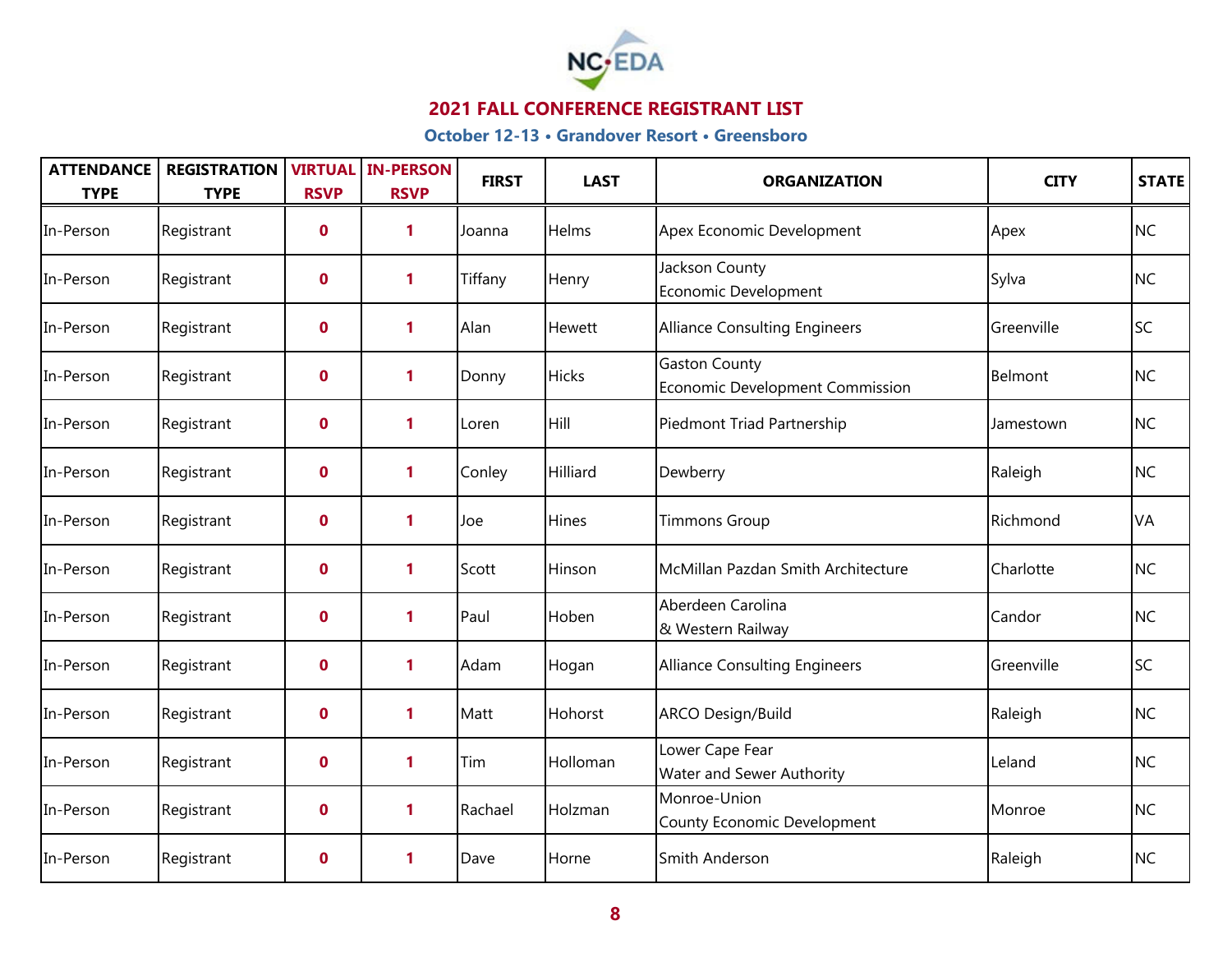

| <b>ATTENDANCE</b><br><b>TYPE</b> | <b>REGISTRATION</b><br><b>TYPE</b> | <b>RSVP</b> | <b>VIRTUAL IN-PERSON</b><br><b>RSVP</b> | <b>FIRST</b> | <b>LAST</b>  | <b>ORGANIZATION</b>                                     | <b>CITY</b> | STATE     |
|----------------------------------|------------------------------------|-------------|-----------------------------------------|--------------|--------------|---------------------------------------------------------|-------------|-----------|
| In-Person                        | Registrant                         | $\mathbf 0$ | 1                                       | Joanna       | Helms        | Apex Economic Development                               | Apex        | <b>NC</b> |
| In-Person                        | Registrant                         | $\mathbf 0$ | 1                                       | Tiffany      | Henry        | Jackson County<br>Economic Development                  | Sylva       | <b>NC</b> |
| In-Person                        | Registrant                         | $\mathbf 0$ | 1                                       | Alan         | Hewett       | Alliance Consulting Engineers                           | Greenville  | <b>SC</b> |
| In-Person                        | Registrant                         | $\mathbf 0$ | 1                                       | Donny        | <b>Hicks</b> | <b>Gaston County</b><br>Economic Development Commission | Belmont     | <b>NC</b> |
| In-Person                        | Registrant                         | $\mathbf 0$ | 1                                       | Loren        | Hill         | Piedmont Triad Partnership                              | Jamestown   | <b>NC</b> |
| In-Person                        | Registrant                         | $\mathbf 0$ | 1                                       | Conley       | Hilliard     | Dewberry                                                | Raleigh     | <b>NC</b> |
| In-Person                        | Registrant                         | $\mathbf 0$ | 1                                       | Joe          | Hines        | <b>Timmons Group</b>                                    | Richmond    | VA        |
| In-Person                        | Registrant                         | $\mathbf 0$ | 1                                       | Scott        | Hinson       | McMillan Pazdan Smith Architecture                      | Charlotte   | <b>NC</b> |
| In-Person                        | Registrant                         | $\mathbf 0$ | 1                                       | Paul         | Hoben        | Aberdeen Carolina<br>& Western Railway                  | Candor      | <b>NC</b> |
| In-Person                        | Registrant                         | $\mathbf 0$ | 1                                       | Adam         | Hogan        | Alliance Consulting Engineers                           | Greenville  | <b>SC</b> |
| In-Person                        | Registrant                         | $\mathbf 0$ | 1                                       | Matt         | Hohorst      | <b>ARCO Design/Build</b>                                | Raleigh     | <b>NC</b> |
| In-Person                        | Registrant                         | $\mathbf 0$ | 1                                       | Tim          | Holloman     | Lower Cape Fear<br><b>Water and Sewer Authority</b>     | Leland      | <b>NC</b> |
| In-Person                        | Registrant                         | $\mathbf 0$ | 1                                       | Rachael      | Holzman      | Monroe-Union<br>County Economic Development             | Monroe      | <b>NC</b> |
| In-Person                        | Registrant                         | $\mathbf 0$ | 1                                       | Dave         | Horne        | Smith Anderson                                          | Raleigh     | <b>NC</b> |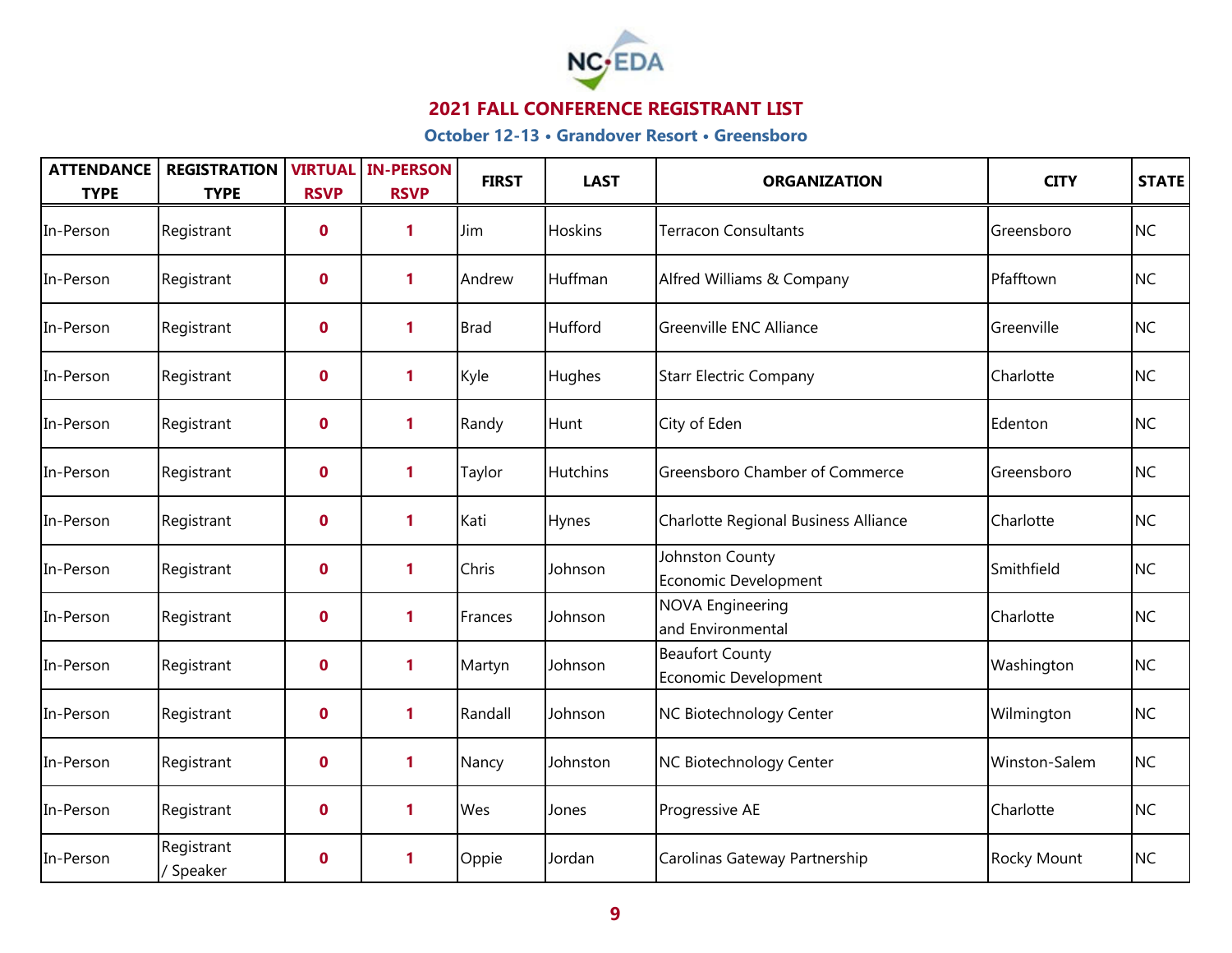

| <b>ATTENDANCE</b><br><b>TYPE</b> | <b>REGISTRATION</b><br><b>TYPE</b> | <b>RSVP</b> | <b>VIRTUAL IN-PERSON</b><br><b>RSVP</b> | <b>FIRST</b> | <b>LAST</b>     | <b>ORGANIZATION</b>                            | <b>CITY</b>   | <b>STATE</b> |
|----------------------------------|------------------------------------|-------------|-----------------------------------------|--------------|-----------------|------------------------------------------------|---------------|--------------|
| In-Person                        | Registrant                         | $\mathbf 0$ | 1                                       | Jim          | Hoskins         | <b>Terracon Consultants</b>                    | Greensboro    | <b>NC</b>    |
| In-Person                        | Registrant                         | $\mathbf 0$ | 1                                       | Andrew       | Huffman         | Alfred Williams & Company                      | Pfafftown     | <b>NC</b>    |
| In-Person                        | Registrant                         | $\mathbf 0$ | $\mathbf{1}$                            | <b>Brad</b>  | Hufford         | Greenville ENC Alliance                        | Greenville    | <b>NC</b>    |
| In-Person                        | Registrant                         | $\mathbf 0$ | $\mathbf{1}$                            | Kyle         | Hughes          | <b>Starr Electric Company</b>                  | Charlotte     | <b>NC</b>    |
| In-Person                        | Registrant                         | $\mathbf 0$ | $\mathbf{1}$                            | Randy        | Hunt            | City of Eden                                   | Edenton       | <b>NC</b>    |
| In-Person                        | Registrant                         | $\mathbf 0$ | $\mathbf{1}$                            | Taylor       | <b>Hutchins</b> | <b>Greensboro Chamber of Commerce</b>          | Greensboro    | <b>NC</b>    |
| In-Person                        | Registrant                         | $\mathbf 0$ | 1                                       | Kati         | Hynes           | Charlotte Regional Business Alliance           | Charlotte     | <b>NC</b>    |
| In-Person                        | Registrant                         | $\mathbf 0$ | 1                                       | Chris        | Johnson         | Johnston County<br>Economic Development        | Smithfield    | <b>NC</b>    |
| In-Person                        | Registrant                         | $\mathbf 0$ | 1                                       | Frances      | Johnson         | <b>NOVA Engineering</b><br>and Environmental   | Charlotte     | <b>NC</b>    |
| In-Person                        | Registrant                         | $\mathbf 0$ | $\mathbf{1}$                            | Martyn       | Johnson         | <b>Beaufort County</b><br>Economic Development | Washington    | <b>NC</b>    |
| In-Person                        | Registrant                         | $\mathbf 0$ | 1                                       | Randall      | Johnson         | NC Biotechnology Center                        | Wilmington    | <b>NC</b>    |
| In-Person                        | Registrant                         | $\mathbf 0$ | 1                                       | Nancy        | Johnston        | NC Biotechnology Center                        | Winston-Salem | <b>NC</b>    |
| In-Person                        | Registrant                         | $\mathbf 0$ | 1                                       | Wes          | Jones           | Progressive AE                                 | Charlotte     | <b>NC</b>    |
| In-Person                        | Registrant<br>/ Speaker            | $\mathbf 0$ | 1                                       | Oppie        | Jordan          | Carolinas Gateway Partnership                  | Rocky Mount   | <b>NC</b>    |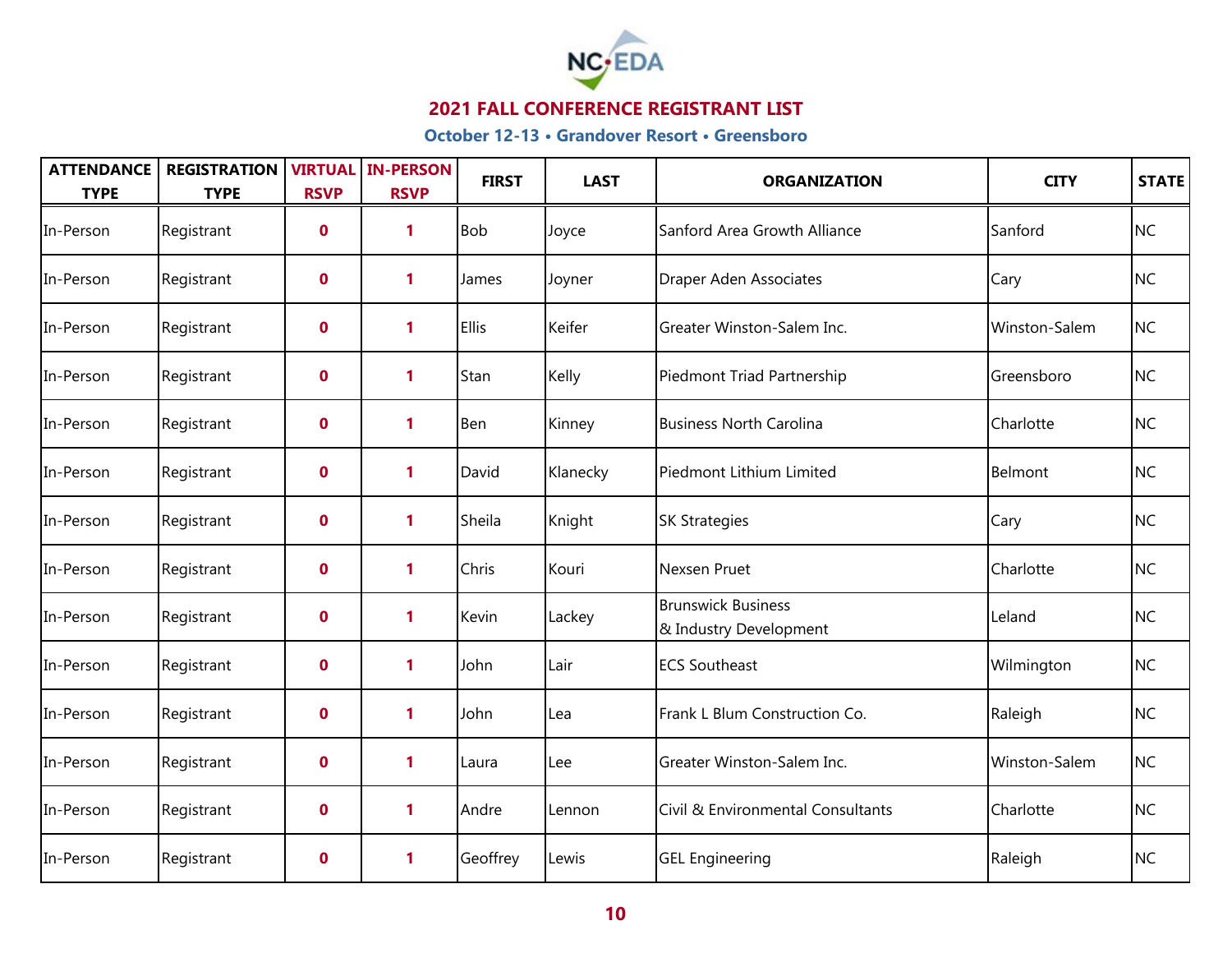

| <b>ATTENDANCE</b><br><b>TYPE</b> | <b>REGISTRATION</b><br><b>TYPE</b> | <b>RSVP</b> | <b>VIRTUAL IN-PERSON</b><br><b>RSVP</b> | <b>FIRST</b> | <b>LAST</b> | <b>ORGANIZATION</b>                                 | <b>CITY</b>   | <b>STATE</b> |
|----------------------------------|------------------------------------|-------------|-----------------------------------------|--------------|-------------|-----------------------------------------------------|---------------|--------------|
| In-Person                        | Registrant                         | $\mathbf 0$ | 1                                       | <b>Bob</b>   | Joyce       | Sanford Area Growth Alliance                        | Sanford       | <b>NC</b>    |
| In-Person                        | Registrant                         | $\mathbf 0$ | 1                                       | James        | Joyner      | Draper Aden Associates                              | Cary          | <b>NC</b>    |
| In-Person                        | Registrant                         | $\mathbf 0$ | 1                                       | <b>Ellis</b> | Keifer      | Greater Winston-Salem Inc.                          | Winston-Salem | <b>NC</b>    |
| In-Person                        | Registrant                         | $\mathbf 0$ | 1                                       | Stan         | Kelly       | Piedmont Triad Partnership                          | Greensboro    | <b>NC</b>    |
| In-Person                        | Registrant                         | $\mathbf 0$ | 1                                       | Ben          | Kinney      | <b>Business North Carolina</b>                      | Charlotte     | <b>NC</b>    |
| In-Person                        | Registrant                         | $\mathbf 0$ | 1                                       | David        | Klanecky    | Piedmont Lithium Limited                            | Belmont       | <b>NC</b>    |
| In-Person                        | Registrant                         | $\mathbf 0$ | 1                                       | Sheila       | Knight      | <b>SK Strategies</b>                                | Cary          | <b>NC</b>    |
| In-Person                        | Registrant                         | $\mathbf 0$ | 1                                       | Chris        | Kouri       | Nexsen Pruet                                        | Charlotte     | <b>NC</b>    |
| In-Person                        | Registrant                         | $\mathbf 0$ | 1                                       | Kevin        | Lackey      | <b>Brunswick Business</b><br>& Industry Development | Leland        | <b>NC</b>    |
| In-Person                        | Registrant                         | $\mathbf 0$ | 1                                       | John         | Lair        | <b>ECS Southeast</b>                                | Wilmington    | <b>NC</b>    |
| In-Person                        | Registrant                         | $\mathbf 0$ | 1                                       | John         | Lea         | Frank L Blum Construction Co.                       | Raleigh       | <b>NC</b>    |
| In-Person                        | Registrant                         | $\mathbf 0$ | 1                                       | Laura        | Lee         | Greater Winston-Salem Inc.                          | Winston-Salem | <b>NC</b>    |
| In-Person                        | Registrant                         | $\mathbf 0$ | 1                                       | Andre        | Lennon      | Civil & Environmental Consultants                   | Charlotte     | <b>NC</b>    |
| In-Person                        | Registrant                         | $\mathbf 0$ | 1                                       | Geoffrey     | Lewis       | <b>GEL Engineering</b>                              | Raleigh       | <b>NC</b>    |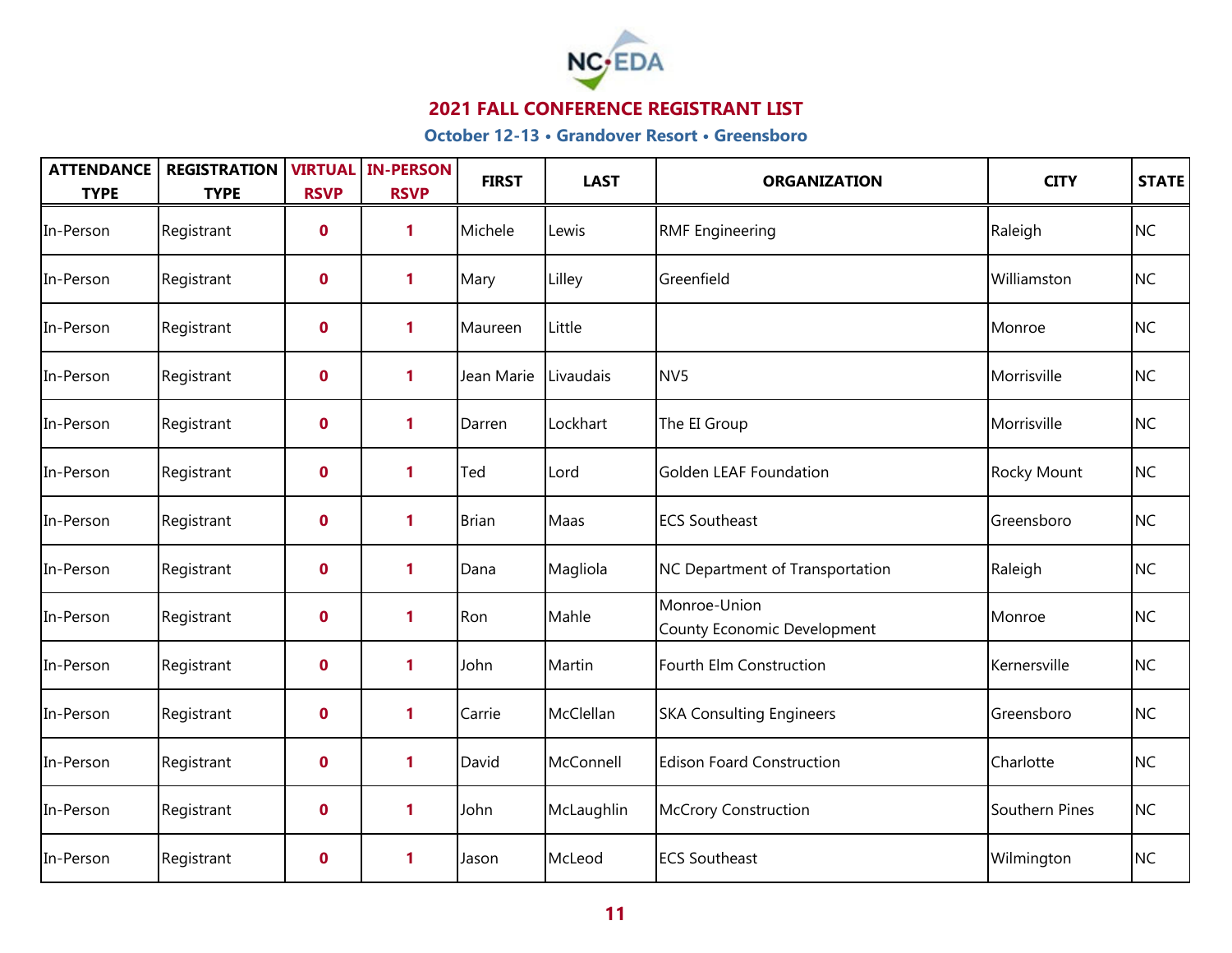

| <b>ATTENDANCE</b><br><b>TYPE</b> | <b>REGISTRATION</b><br><b>TYPE</b> | <b>RSVP</b>      | <b>VIRTUAL IN-PERSON</b><br><b>RSVP</b> | <b>FIRST</b> | <b>LAST</b> | <b>ORGANIZATION</b>                         | <b>CITY</b>    | STATE     |
|----------------------------------|------------------------------------|------------------|-----------------------------------------|--------------|-------------|---------------------------------------------|----------------|-----------|
| In-Person                        | Registrant                         | $\boldsymbol{0}$ | 1                                       | Michele      | Lewis       | <b>RMF Engineering</b>                      | Raleigh        | <b>NC</b> |
| In-Person                        | Registrant                         | $\mathbf 0$      | 1                                       | Mary         | Lilley      | Greenfield                                  | Williamston    | <b>NC</b> |
| In-Person                        | Registrant                         | $\mathbf 0$      | $\mathbf{1}$                            | Maureen      | Little      |                                             | Monroe         | <b>NC</b> |
| In-Person                        | Registrant                         | $\mathbf 0$      | 1                                       | Jean Marie   | Livaudais   | NV <sub>5</sub>                             | Morrisville    | <b>NC</b> |
| In-Person                        | Registrant                         | $\mathbf 0$      | 1                                       | Darren       | Lockhart    | The EI Group                                | Morrisville    | <b>NC</b> |
| In-Person                        | Registrant                         | $\mathbf 0$      | 1                                       | Ted          | Lord        | Golden LEAF Foundation                      | Rocky Mount    | <b>NC</b> |
| In-Person                        | Registrant                         | $\mathbf 0$      | 1                                       | <b>Brian</b> | Maas        | <b>ECS Southeast</b>                        | Greensboro     | <b>NC</b> |
| In-Person                        | Registrant                         | $\mathbf 0$      | 1                                       | Dana         | Magliola    | NC Department of Transportation             | Raleigh        | <b>NC</b> |
| In-Person                        | Registrant                         | $\mathbf 0$      | 1                                       | Ron          | Mahle       | Monroe-Union<br>County Economic Development | Monroe         | <b>NC</b> |
| In-Person                        | Registrant                         | $\mathbf 0$      | $\mathbf{1}$                            | John         | Martin      | Fourth Elm Construction                     | Kernersville   | <b>NC</b> |
| In-Person                        | Registrant                         | $\mathbf 0$      | 1                                       | Carrie       | McClellan   | <b>SKA Consulting Engineers</b>             | Greensboro     | <b>NC</b> |
| In-Person                        | Registrant                         | $\mathbf 0$      | $\mathbf{1}$                            | David        | McConnell   | <b>Edison Foard Construction</b>            | Charlotte      | <b>NC</b> |
| In-Person                        | Registrant                         | $\mathbf 0$      | 1                                       | John         | McLaughlin  | <b>McCrory Construction</b>                 | Southern Pines | <b>NC</b> |
| In-Person                        | Registrant                         | $\mathbf 0$      | 1                                       | Jason        | McLeod      | <b>ECS Southeast</b>                        | Wilmington     | NC        |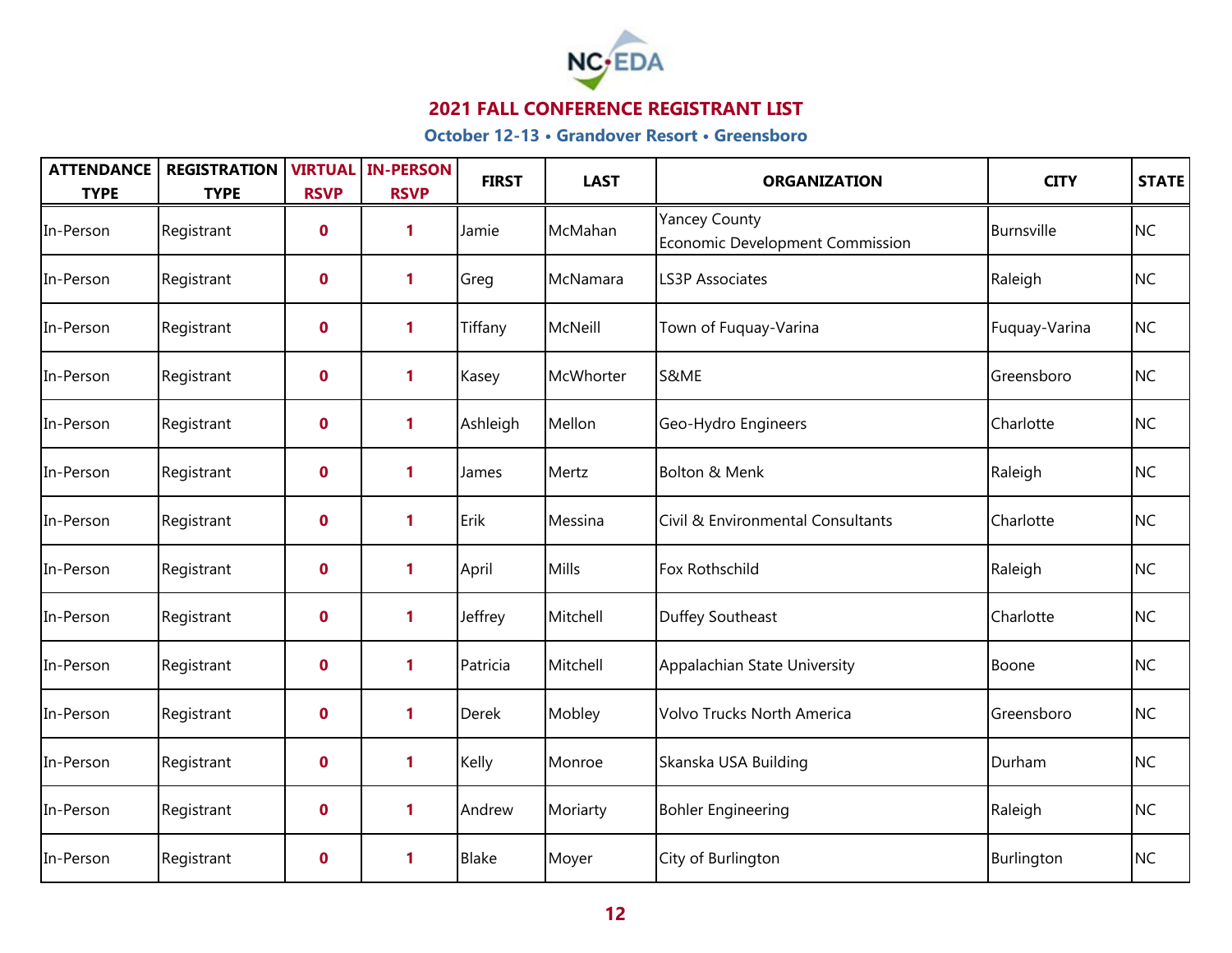

| <b>ATTENDANCE</b><br><b>TYPE</b> | <b>REGISTRATION</b><br><b>TYPE</b> | <b>RSVP</b>      | <b>VIRTUAL IN-PERSON</b><br><b>RSVP</b> | <b>FIRST</b> | <b>LAST</b> | <b>ORGANIZATION</b>                                     | <b>CITY</b>   | STATE     |
|----------------------------------|------------------------------------|------------------|-----------------------------------------|--------------|-------------|---------------------------------------------------------|---------------|-----------|
| In-Person                        | Registrant                         | $\boldsymbol{0}$ | 1                                       | Jamie        | McMahan     | <b>Yancey County</b><br>Economic Development Commission | Burnsville    | <b>NC</b> |
| In-Person                        | Registrant                         | $\mathbf 0$      | 1                                       | Greg         | McNamara    | <b>LS3P Associates</b>                                  | Raleigh       | <b>NC</b> |
| In-Person                        | Registrant                         | $\mathbf 0$      | 1                                       | Tiffany      | McNeill     | Town of Fuquay-Varina                                   | Fuquay-Varina | <b>NC</b> |
| In-Person                        | Registrant                         | $\mathbf 0$      | 1                                       | Kasey        | McWhorter   | S&ME                                                    | Greensboro    | <b>NC</b> |
| In-Person                        | Registrant                         | $\mathbf 0$      | 1                                       | Ashleigh     | Mellon      | Geo-Hydro Engineers                                     | Charlotte     | <b>NC</b> |
| In-Person                        | Registrant                         | $\mathbf 0$      | 1                                       | James        | Mertz       | Bolton & Menk                                           | Raleigh       | <b>NC</b> |
| In-Person                        | Registrant                         | $\mathbf 0$      | 1                                       | Erik         | Messina     | Civil & Environmental Consultants                       | Charlotte     | <b>NC</b> |
| In-Person                        | Registrant                         | $\mathbf 0$      | 1                                       | April        | Mills       | Fox Rothschild                                          | Raleigh       | <b>NC</b> |
| In-Person                        | Registrant                         | $\mathbf 0$      | 1                                       | Jeffrey      | Mitchell    | Duffey Southeast                                        | Charlotte     | <b>NC</b> |
| In-Person                        | Registrant                         | $\mathbf 0$      | $\mathbf{1}$                            | Patricia     | Mitchell    | Appalachian State University                            | Boone         | <b>NC</b> |
| In-Person                        | Registrant                         | $\mathbf 0$      | 1                                       | <b>Derek</b> | Mobley      | Volvo Trucks North America                              | Greensboro    | <b>NC</b> |
| In-Person                        | Registrant                         | $\mathbf 0$      | $\mathbf{1}$                            | Kelly        | Monroe      | Skanska USA Building                                    | Durham        | <b>NC</b> |
| In-Person                        | Registrant                         | $\mathbf 0$      | 1                                       | Andrew       | Moriarty    | <b>Bohler Engineering</b>                               | Raleigh       | <b>NC</b> |
| In-Person                        | Registrant                         | $\mathbf 0$      | 1                                       | Blake        | Moyer       | City of Burlington                                      | Burlington    | <b>NC</b> |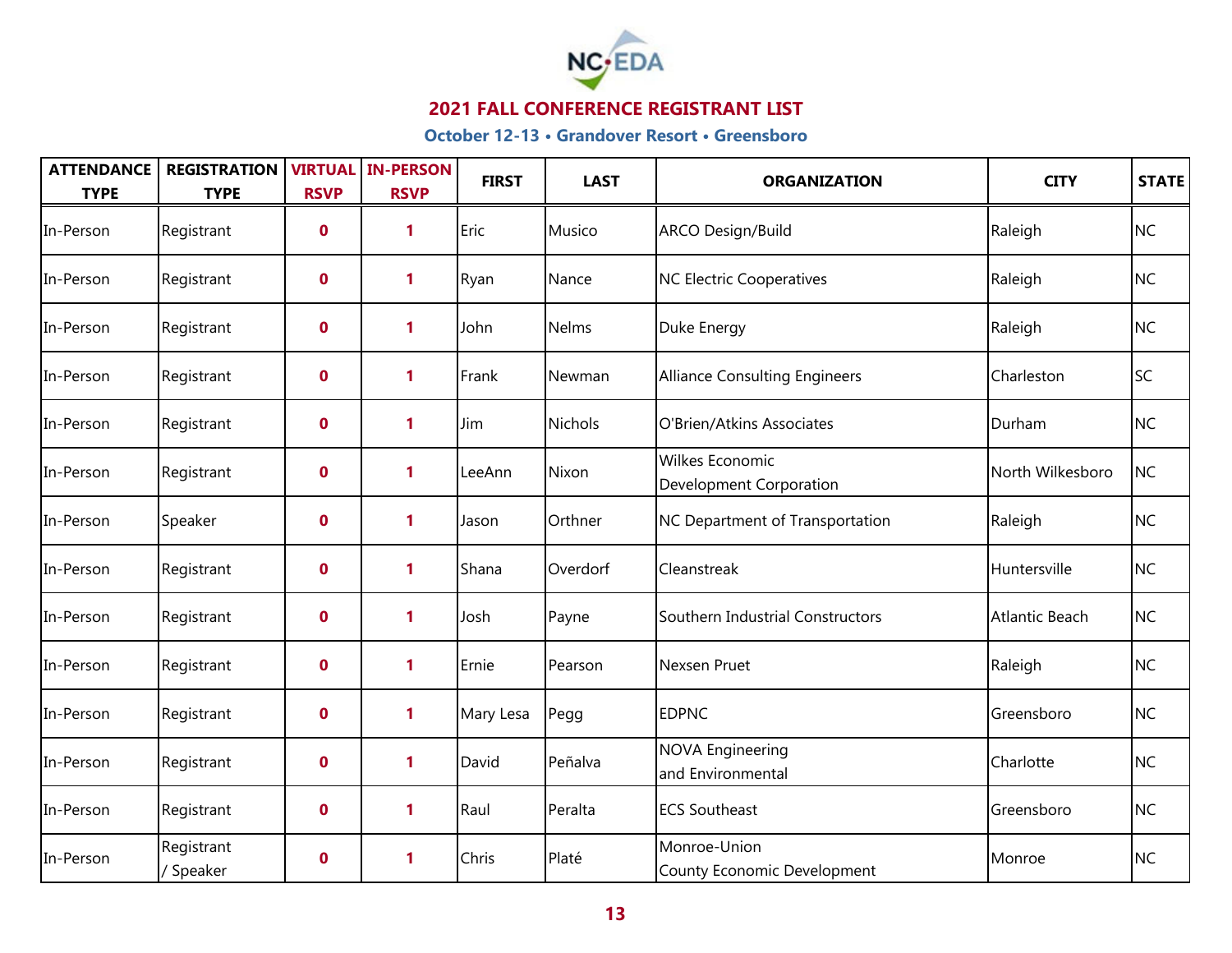

| <b>ATTENDANCE</b><br><b>TYPE</b> | <b>REGISTRATION</b><br><b>TYPE</b> | <b>RSVP</b>      | <b>VIRTUAL IN-PERSON</b><br><b>RSVP</b> | <b>FIRST</b> | <b>LAST</b>    | <b>ORGANIZATION</b>                               | <b>CITY</b>           | <b>STATE</b> |
|----------------------------------|------------------------------------|------------------|-----------------------------------------|--------------|----------------|---------------------------------------------------|-----------------------|--------------|
| In-Person                        | Registrant                         | $\mathbf 0$      | 1                                       | Eric         | Musico         | <b>ARCO Design/Build</b>                          | Raleigh               | <b>NC</b>    |
| In-Person                        | Registrant                         | $\mathbf 0$      | $\mathbf{1}$                            | Ryan         | Nance          | <b>NC Electric Cooperatives</b>                   | Raleigh               | <b>NC</b>    |
| In-Person                        | Registrant                         | $\mathbf 0$      | $\mathbf{1}$                            | John         | <b>Nelms</b>   | Duke Energy                                       | Raleigh               | <b>NC</b>    |
| In-Person                        | Registrant                         | $\mathbf 0$      | 1                                       | Frank        | Newman         | <b>Alliance Consulting Engineers</b>              | Charleston            | <b>SC</b>    |
| In-Person                        | Registrant                         | $\mathbf 0$      | 1                                       | Jim          | <b>Nichols</b> | O'Brien/Atkins Associates                         | Durham                | <b>NC</b>    |
| In-Person                        | Registrant                         | $\mathbf 0$      | $\mathbf{1}$                            | LeeAnn       | Nixon          | <b>Wilkes Economic</b><br>Development Corporation | North Wilkesboro      | <b>NC</b>    |
| In-Person                        | Speaker                            | $\mathbf 0$      | $\mathbf{1}$                            | Jason        | Orthner        | NC Department of Transportation                   | Raleigh               | <b>NC</b>    |
| In-Person                        | Registrant                         | $\mathbf 0$      | 1                                       | Shana        | Overdorf       | Cleanstreak                                       | Huntersville          | <b>NC</b>    |
| In-Person                        | Registrant                         | $\mathbf 0$      | 1                                       | Josh         | Payne          | Southern Industrial Constructors                  | <b>Atlantic Beach</b> | <b>NC</b>    |
| In-Person                        | Registrant                         | $\mathbf 0$      | 1                                       | Ernie        | Pearson        | Nexsen Pruet                                      | Raleigh               | <b>NC</b>    |
| In-Person                        | Registrant                         | $\mathbf 0$      | $\mathbf{1}$                            | Mary Lesa    | Pegg           | <b>EDPNC</b>                                      | Greensboro            | <b>NC</b>    |
| In-Person                        | Registrant                         | $\mathbf 0$      | 1                                       | David        | Peñalva        | <b>NOVA Engineering</b><br>and Environmental      | Charlotte             | <b>NC</b>    |
| In-Person                        | Registrant                         | $\mathbf 0$      | 1                                       | Raul         | Peralta        | <b>ECS Southeast</b>                              | Greensboro            | <b>NC</b>    |
| In-Person                        | Registrant<br>/ Speaker            | $\boldsymbol{0}$ | 1                                       | Chris        | Platé          | Monroe-Union<br>County Economic Development       | Monroe                | <b>NC</b>    |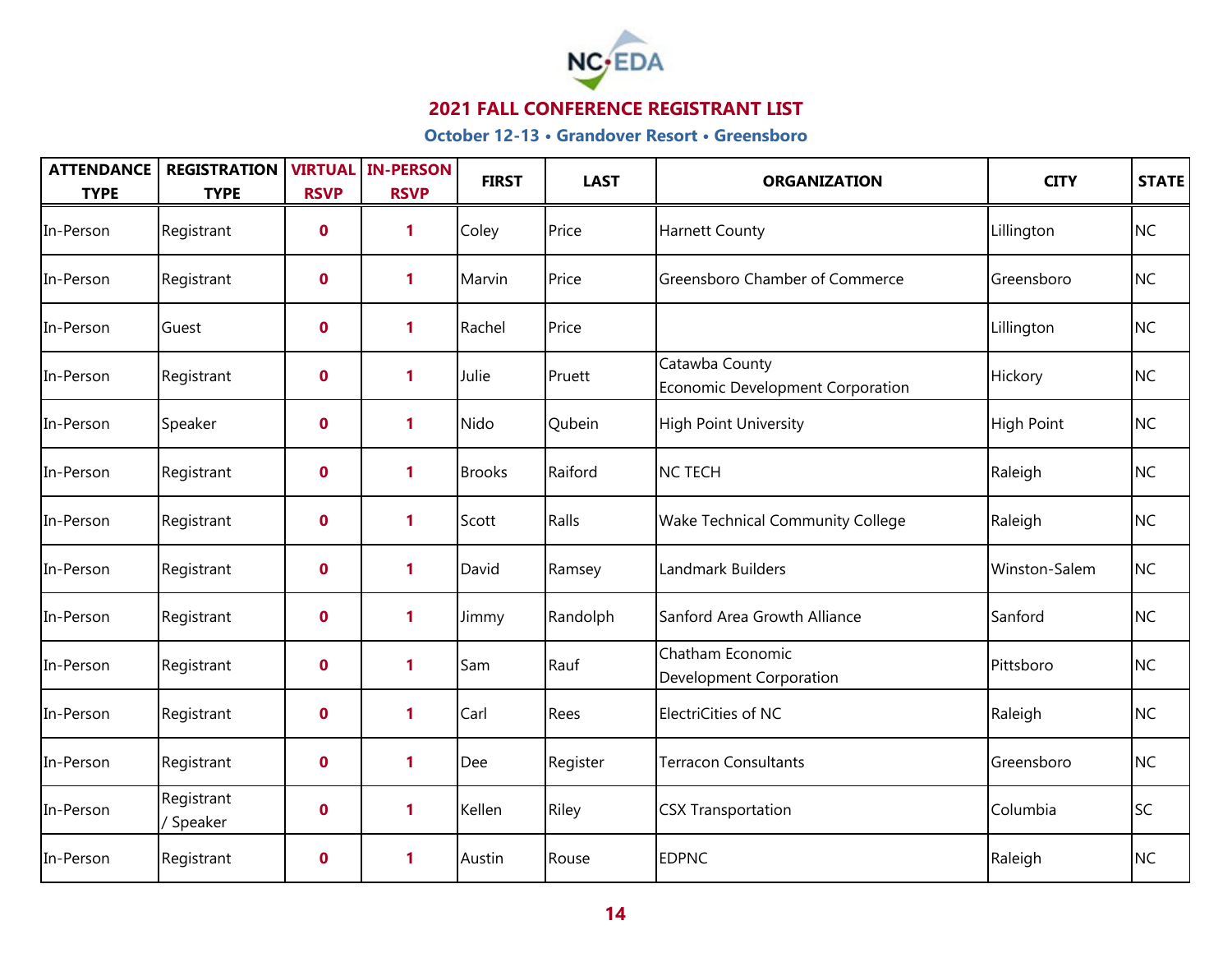

| <b>ATTENDANCE</b><br><b>TYPE</b> | <b>REGISTRATION</b><br><b>TYPE</b> | <b>RSVP</b>      | <b>VIRTUAL IN-PERSON</b><br><b>RSVP</b> | <b>FIRST</b>  | <b>LAST</b> | <b>ORGANIZATION</b>                                       | <b>CITY</b>   | STATE     |
|----------------------------------|------------------------------------|------------------|-----------------------------------------|---------------|-------------|-----------------------------------------------------------|---------------|-----------|
| In-Person                        | Registrant                         | $\boldsymbol{0}$ | 1                                       | Coley         | Price       | <b>Harnett County</b>                                     | Lillington    | <b>NC</b> |
| In-Person                        | Registrant                         | $\mathbf 0$      | 1                                       | Marvin        | Price       | <b>Greensboro Chamber of Commerce</b>                     | Greensboro    | <b>NC</b> |
| In-Person                        | Guest                              | $\mathbf 0$      | 1                                       | Rachel        | Price       |                                                           | Lillington    | <b>NC</b> |
| In-Person                        | Registrant                         | $\mathbf 0$      | 1                                       | Julie         | Pruett      | Catawba County<br><b>Economic Development Corporation</b> | Hickory       | <b>NC</b> |
| In-Person                        | Speaker                            | $\mathbf 0$      | 1                                       | Nido          | Qubein      | <b>High Point University</b>                              | High Point    | <b>NC</b> |
| In-Person                        | Registrant                         | $\mathbf 0$      | 1                                       | <b>Brooks</b> | Raiford     | <b>NC TECH</b>                                            | Raleigh       | <b>NC</b> |
| In-Person                        | Registrant                         | $\mathbf 0$      | 1                                       | Scott         | Ralls       | <b>Wake Technical Community College</b>                   | Raleigh       | <b>NC</b> |
| In-Person                        | Registrant                         | $\mathbf 0$      | 1                                       | David         | Ramsey      | Landmark Builders                                         | Winston-Salem | <b>NC</b> |
| In-Person                        | Registrant                         | $\mathbf 0$      | 1                                       | Jimmy         | Randolph    | Sanford Area Growth Alliance                              | Sanford       | <b>NC</b> |
| In-Person                        | Registrant                         | $\mathbf 0$      | 1                                       | Sam           | Rauf        | Chatham Economic<br><b>Development Corporation</b>        | Pittsboro     | <b>NC</b> |
| In-Person                        | Registrant                         | $\mathbf 0$      | 1                                       | Carl          | Rees        | ElectriCities of NC                                       | Raleigh       | <b>NC</b> |
| In-Person                        | Registrant                         | $\mathbf 0$      | 1                                       | Dee           | Register    | <b>Terracon Consultants</b>                               | Greensboro    | <b>NC</b> |
| In-Person                        | Registrant<br>/ Speaker            | $\mathbf 0$      | 1                                       | Kellen        | Riley       | <b>CSX Transportation</b>                                 | Columbia      | <b>SC</b> |
| In-Person                        | Registrant                         | $\mathbf 0$      | 1                                       | Austin        | Rouse       | <b>EDPNC</b>                                              | Raleigh       | <b>NC</b> |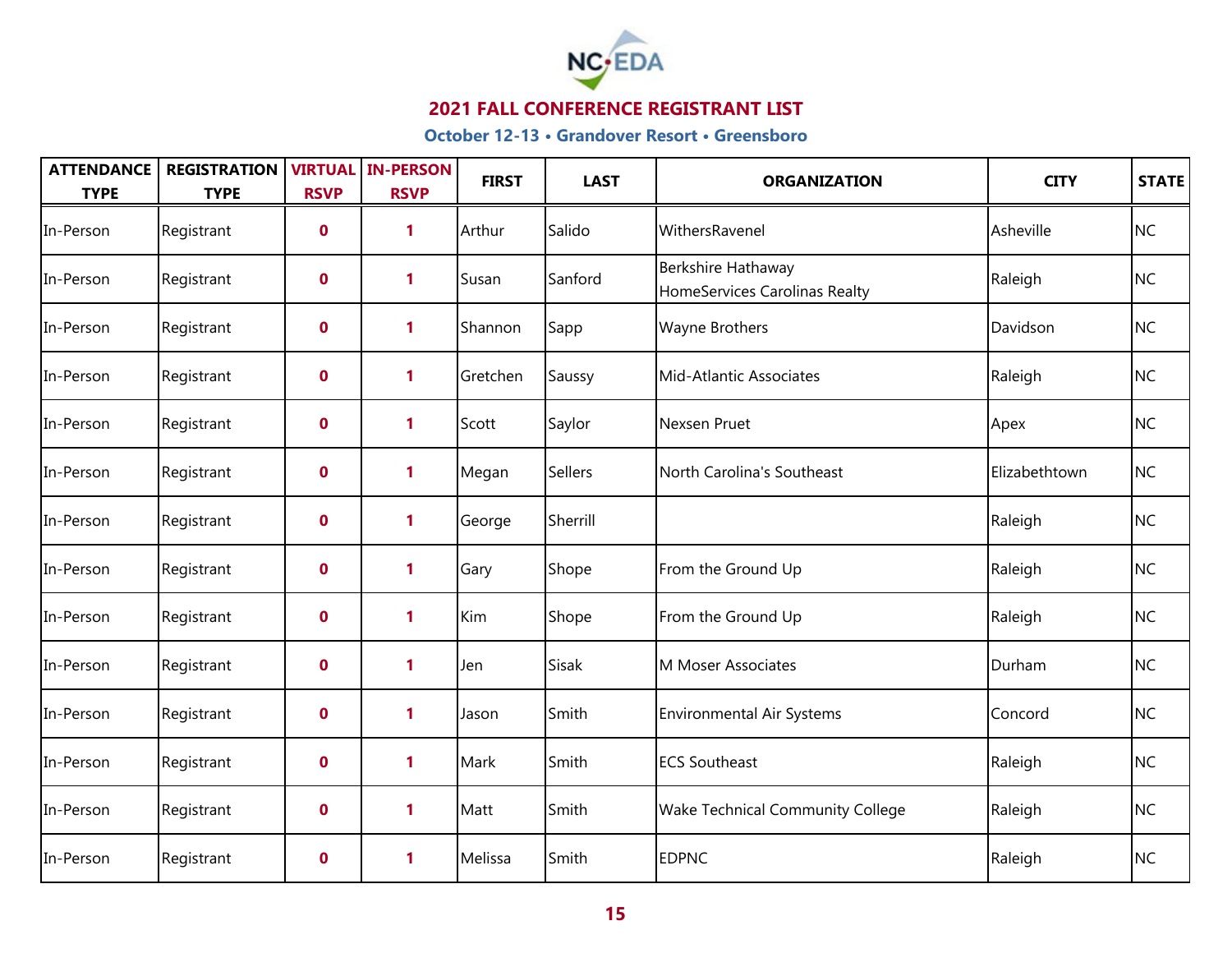

| <b>ATTENDANCE</b><br><b>TYPE</b> | <b>REGISTRATION</b><br><b>TYPE</b> | <b>RSVP</b>      | <b>VIRTUAL IN-PERSON</b><br><b>RSVP</b> | <b>FIRST</b> | <b>LAST</b> | <b>ORGANIZATION</b>                                 | <b>CITY</b>   | STATE     |
|----------------------------------|------------------------------------|------------------|-----------------------------------------|--------------|-------------|-----------------------------------------------------|---------------|-----------|
| In-Person                        | Registrant                         | $\boldsymbol{0}$ | 1                                       | Arthur       | Salido      | WithersRavenel                                      | Asheville     | <b>NC</b> |
| In-Person                        | Registrant                         | $\mathbf 0$      | 1                                       | Susan        | Sanford     | Berkshire Hathaway<br>HomeServices Carolinas Realty | Raleigh       | <b>NC</b> |
| In-Person                        | Registrant                         | $\boldsymbol{0}$ | 1                                       | Shannon      | Sapp        | Wayne Brothers                                      | Davidson      | <b>NC</b> |
| In-Person                        | Registrant                         | $\mathbf 0$      | 1                                       | Gretchen     | Saussy      | Mid-Atlantic Associates                             | Raleigh       | <b>NC</b> |
| In-Person                        | Registrant                         | $\boldsymbol{0}$ | 1                                       | Scott        | Saylor      | Nexsen Pruet                                        | Apex          | <b>NC</b> |
| In-Person                        | Registrant                         | $\mathbf 0$      | 1                                       | Megan        | Sellers     | North Carolina's Southeast                          | Elizabethtown | <b>NC</b> |
| In-Person                        | Registrant                         | $\mathbf 0$      | 1                                       | George       | Sherrill    |                                                     | Raleigh       | <b>NC</b> |
| In-Person                        | Registrant                         | $\mathbf 0$      | 1                                       | Gary         | Shope       | From the Ground Up                                  | Raleigh       | <b>NC</b> |
| In-Person                        | Registrant                         | $\mathbf 0$      | 1                                       | Kim          | Shope       | From the Ground Up                                  | Raleigh       | <b>NC</b> |
| In-Person                        | Registrant                         | $\mathbf 0$      | 1                                       | Jen          | Sisak       | M Moser Associates                                  | Durham        | <b>NC</b> |
| In-Person                        | Registrant                         | $\mathbf 0$      | 1                                       | Jason        | Smith       | <b>Environmental Air Systems</b>                    | Concord       | <b>NC</b> |
| In-Person                        | Registrant                         | $\mathbf 0$      | 1                                       | Mark         | Smith       | <b>ECS Southeast</b>                                | Raleigh       | <b>NC</b> |
| In-Person                        | Registrant                         | $\mathbf 0$      | 1                                       | Matt         | Smith       | <b>Wake Technical Community College</b>             | Raleigh       | <b>NC</b> |
| In-Person                        | Registrant                         | $\mathbf 0$      | 1                                       | Melissa      | Smith       | <b>EDPNC</b>                                        | Raleigh       | <b>NC</b> |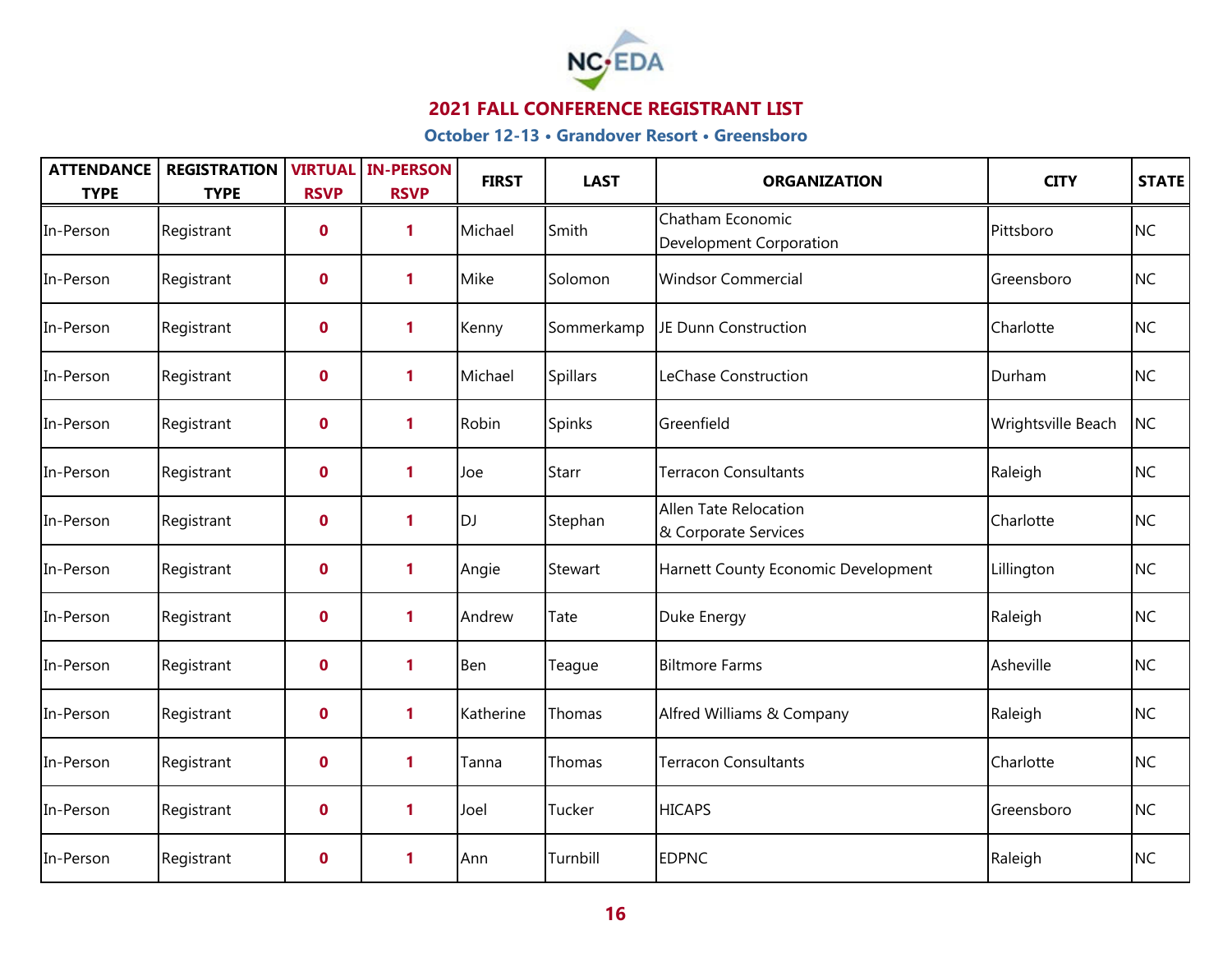

| <b>ATTENDANCE</b><br><b>TYPE</b> | <b>REGISTRATION</b><br><b>TYPE</b> | <b>RSVP</b>      | <b>VIRTUAL IN-PERSON</b><br><b>RSVP</b> | <b>FIRST</b> | <b>LAST</b>     | <b>ORGANIZATION</b>                                | <b>CITY</b>        | STATE     |
|----------------------------------|------------------------------------|------------------|-----------------------------------------|--------------|-----------------|----------------------------------------------------|--------------------|-----------|
| In-Person                        | Registrant                         | $\boldsymbol{0}$ | 1                                       | Michael      | Smith           | Chatham Economic<br><b>Development Corporation</b> | Pittsboro          | <b>NC</b> |
| In-Person                        | Registrant                         | $\mathbf 0$      | 1                                       | Mike         | Solomon         | <b>Windsor Commercial</b>                          | Greensboro         | <b>NC</b> |
| In-Person                        | Registrant                         | $\mathbf 0$      | $\mathbf{1}$                            | Kenny        | Sommerkamp      | JE Dunn Construction                               | Charlotte          | <b>NC</b> |
| In-Person                        | Registrant                         | $\mathbf 0$      | 1                                       | Michael      | <b>Spillars</b> | LeChase Construction                               | Durham             | <b>NC</b> |
| In-Person                        | Registrant                         | $\mathbf 0$      | 1                                       | Robin        | Spinks          | Greenfield                                         | Wrightsville Beach | <b>NC</b> |
| In-Person                        | Registrant                         | $\mathbf 0$      | 1                                       | Joe          | Starr           | <b>Terracon Consultants</b>                        | Raleigh            | <b>NC</b> |
| In-Person                        | Registrant                         | $\mathbf 0$      | 1                                       | <b>DJ</b>    | Stephan         | Allen Tate Relocation<br>& Corporate Services      | Charlotte          | <b>NC</b> |
| In-Person                        | Registrant                         | $\mathbf 0$      | 1                                       | Angie        | Stewart         | Harnett County Economic Development                | Lillington         | <b>NC</b> |
| In-Person                        | Registrant                         | $\mathbf 0$      | 1                                       | Andrew       | Tate            | Duke Energy                                        | Raleigh            | <b>NC</b> |
| In-Person                        | Registrant                         | $\mathbf 0$      | 1                                       | Ben          | Teague          | <b>Biltmore Farms</b>                              | Asheville          | <b>NC</b> |
| In-Person                        | Registrant                         | $\mathbf 0$      | 1                                       | Katherine    | Thomas          | Alfred Williams & Company                          | Raleigh            | <b>NC</b> |
| In-Person                        | Registrant                         | $\mathbf 0$      | 1                                       | Tanna        | Thomas          | <b>Terracon Consultants</b>                        | Charlotte          | <b>NC</b> |
| In-Person                        | Registrant                         | $\boldsymbol{0}$ | 1                                       | Joel         | Tucker          | <b>HICAPS</b>                                      | Greensboro         | <b>NC</b> |
| In-Person                        | Registrant                         | $\mathbf 0$      | 1                                       | Ann          | Turnbill        | <b>EDPNC</b>                                       | Raleigh            | <b>NC</b> |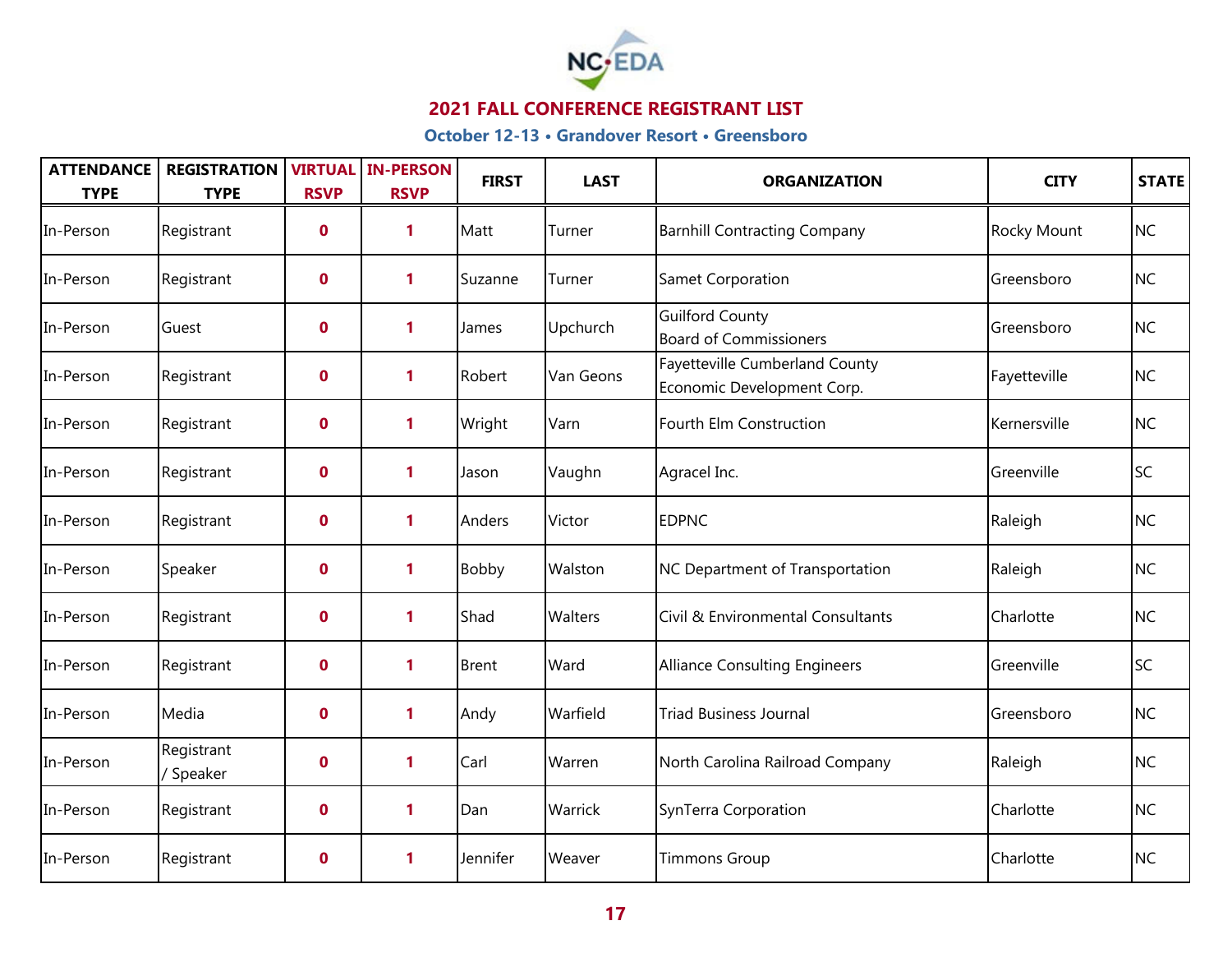

| <b>ATTENDANCE</b><br><b>TYPE</b> | <b>REGISTRATION</b><br><b>TYPE</b> | <b>RSVP</b> | <b>VIRTUAL IN-PERSON</b><br><b>RSVP</b> | <b>FIRST</b> | <b>LAST</b> | <b>ORGANIZATION</b>                                          | <b>CITY</b>  | STATE     |
|----------------------------------|------------------------------------|-------------|-----------------------------------------|--------------|-------------|--------------------------------------------------------------|--------------|-----------|
| In-Person                        | Registrant                         | $\mathbf 0$ | 1                                       | Matt         | Turner      | <b>Barnhill Contracting Company</b>                          | Rocky Mount  | <b>NC</b> |
| In-Person                        | Registrant                         | $\mathbf 0$ | 1                                       | Suzanne      | Turner      | <b>Samet Corporation</b>                                     | Greensboro   | <b>NC</b> |
| In-Person                        | Guest                              | $\mathbf 0$ | 1                                       | James        | Upchurch    | <b>Guilford County</b><br><b>Board of Commissioners</b>      | Greensboro   | <b>NC</b> |
| In-Person                        | Registrant                         | $\mathbf 0$ | 1                                       | Robert       | Van Geons   | Fayetteville Cumberland County<br>Economic Development Corp. | Fayetteville | <b>NC</b> |
| In-Person                        | Registrant                         | $\mathbf 0$ | 1                                       | Wright       | Varn        | Fourth Elm Construction                                      | Kernersville | <b>NC</b> |
| In-Person                        | Registrant                         | $\mathbf 0$ | 1                                       | Jason        | Vaughn      | Agracel Inc.                                                 | Greenville   | <b>SC</b> |
| In-Person                        | Registrant                         | $\mathbf 0$ | 1                                       | Anders       | Victor      | <b>EDPNC</b>                                                 | Raleigh      | <b>NC</b> |
| In-Person                        | Speaker                            | $\mathbf 0$ | 1                                       | <b>Bobby</b> | Walston     | NC Department of Transportation                              | Raleigh      | <b>NC</b> |
| In-Person                        | Registrant                         | $\mathbf 0$ | 1                                       | Shad         | Walters     | Civil & Environmental Consultants                            | Charlotte    | <b>NC</b> |
| In-Person                        | Registrant                         | $\mathbf 0$ | 1                                       | <b>Brent</b> | Ward        | Alliance Consulting Engineers                                | Greenville   | <b>SC</b> |
| In-Person                        | Media                              | $\mathbf 0$ | 1                                       | Andy         | Warfield    | <b>Triad Business Journal</b>                                | Greensboro   | <b>NC</b> |
| In-Person                        | Registrant<br>/ Speaker            | $\mathbf 0$ | 1                                       | Carl         | Warren      | North Carolina Railroad Company                              | Raleigh      | <b>NC</b> |
| In-Person                        | Registrant                         | $\mathbf 0$ | 1                                       | Dan          | Warrick     | SynTerra Corporation                                         | Charlotte    | <b>NC</b> |
| In-Person                        | Registrant                         | $\mathbf 0$ | 1                                       | Jennifer     | Weaver      | <b>Timmons Group</b>                                         | Charlotte    | <b>NC</b> |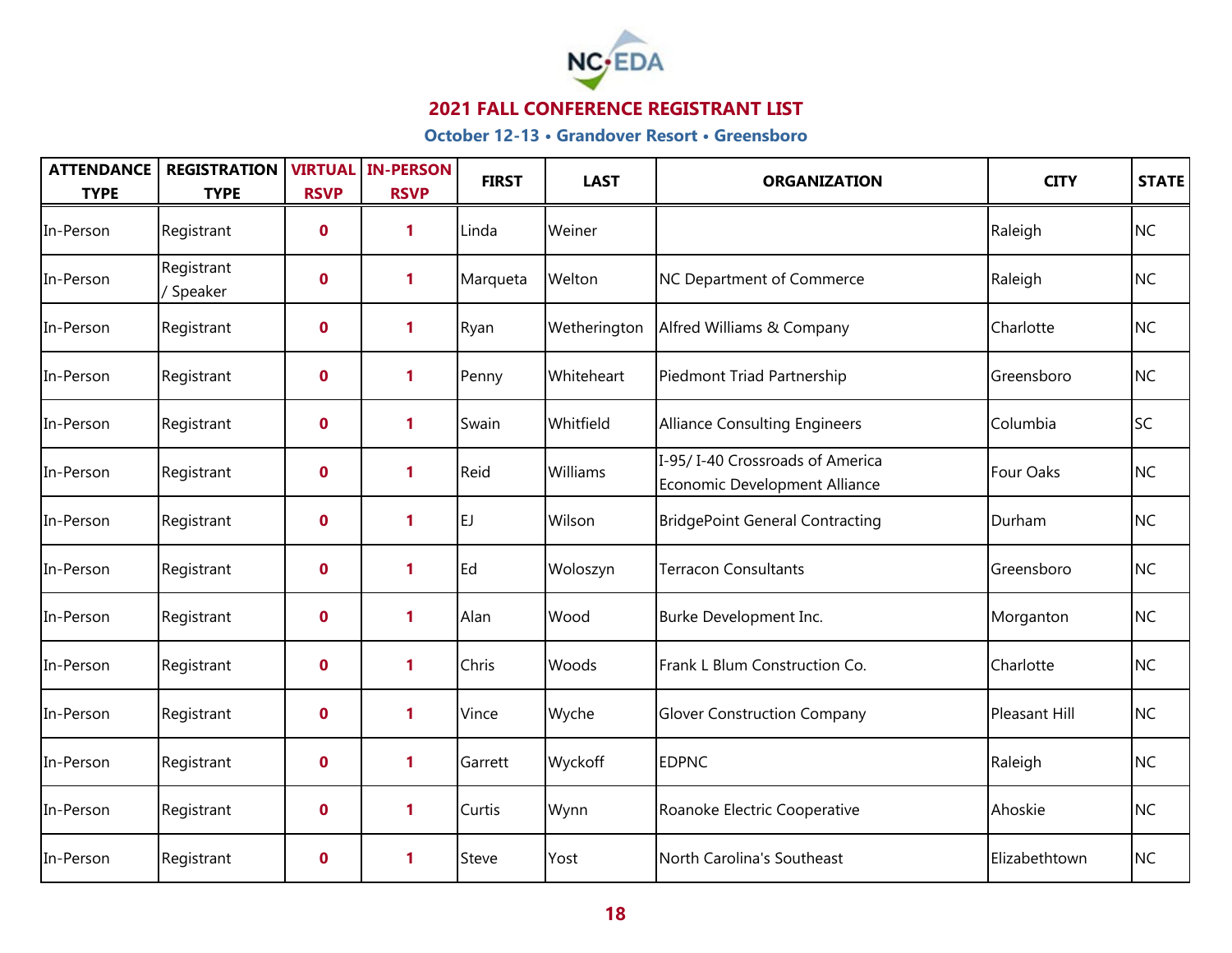

| <b>ATTENDANCE</b><br><b>TYPE</b> | <b>REGISTRATION</b><br><b>TYPE</b> | <b>RSVP</b> | <b>VIRTUAL IN-PERSON</b><br><b>RSVP</b> | <b>FIRST</b> | <b>LAST</b>  | <b>ORGANIZATION</b>                                              | <b>CITY</b>   | <b>STATE</b> |
|----------------------------------|------------------------------------|-------------|-----------------------------------------|--------------|--------------|------------------------------------------------------------------|---------------|--------------|
| In-Person                        | Registrant                         | $\mathbf 0$ | 1                                       | Linda        | Weiner       |                                                                  | Raleigh       | <b>NC</b>    |
| In-Person                        | Registrant<br>/ Speaker            | $\mathbf 0$ | 1                                       | Marqueta     | Welton       | <b>NC Department of Commerce</b>                                 | Raleigh       | <b>NC</b>    |
| In-Person                        | Registrant                         | $\mathbf 0$ | 1                                       | Ryan         | Wetherington | Alfred Williams & Company                                        | Charlotte     | <b>NC</b>    |
| In-Person                        | Registrant                         | $\mathbf 0$ | 1                                       | Penny        | Whiteheart   | Piedmont Triad Partnership                                       | Greensboro    | <b>NC</b>    |
| In-Person                        | Registrant                         | $\mathbf 0$ | 1                                       | Swain        | Whitfield    | <b>Alliance Consulting Engineers</b>                             | Columbia      | <b>SC</b>    |
| In-Person                        | Registrant                         | $\mathbf 0$ | 1                                       | Reid         | Williams     | I-95/I-40 Crossroads of America<br>Economic Development Alliance | Four Oaks     | <b>NC</b>    |
| In-Person                        | Registrant                         | $\mathbf 0$ | 1                                       | EJ.          | Wilson       | <b>BridgePoint General Contracting</b>                           | Durham        | <b>NC</b>    |
| In-Person                        | Registrant                         | $\mathbf 0$ | 1                                       | Ed           | Woloszyn     | <b>Terracon Consultants</b>                                      | Greensboro    | <b>NC</b>    |
| In-Person                        | Registrant                         | $\mathbf 0$ | 1                                       | Alan         | Wood         | Burke Development Inc.                                           | Morganton     | <b>NC</b>    |
| In-Person                        | Registrant                         | $\mathbf 0$ | 1                                       | Chris        | Woods        | Frank L Blum Construction Co.                                    | Charlotte     | <b>NC</b>    |
| In-Person                        | Registrant                         | $\mathbf 0$ | 1                                       | Vince        | Wyche        | <b>Glover Construction Company</b>                               | Pleasant Hill | <b>NC</b>    |
| In-Person                        | Registrant                         | $\mathbf 0$ | 1                                       | Garrett      | Wyckoff      | <b>EDPNC</b>                                                     | Raleigh       | <b>NC</b>    |
| In-Person                        | Registrant                         | $\mathbf 0$ | 1                                       | Curtis       | Wynn         | Roanoke Electric Cooperative                                     | Ahoskie       | <b>NC</b>    |
| In-Person                        | Registrant                         | $\mathbf 0$ | 1                                       | Steve        | Yost         | North Carolina's Southeast                                       | Elizabethtown | <b>NC</b>    |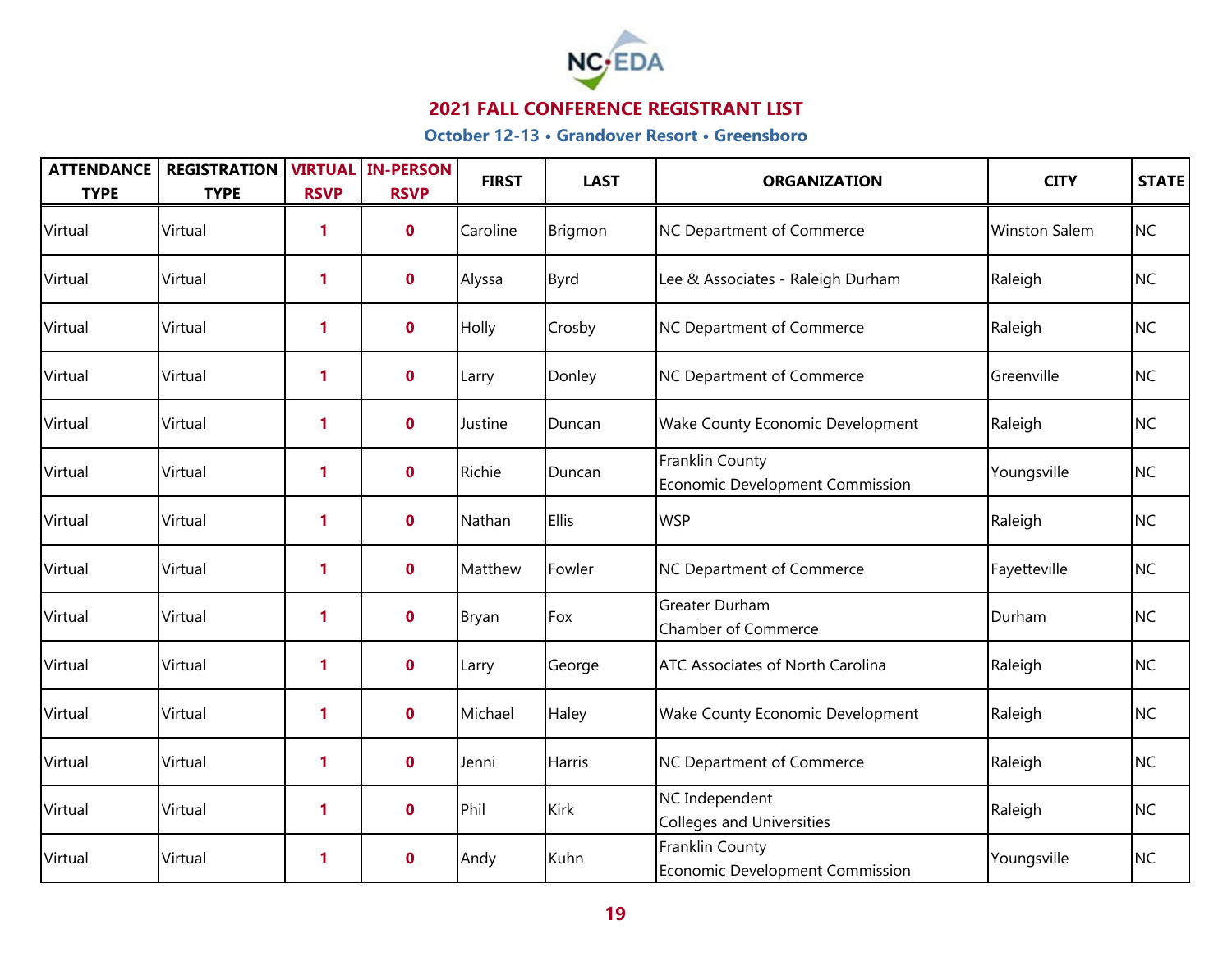

| <b>ATTENDANCE</b><br><b>TYPE</b> | <b>REGISTRATION</b><br><b>TYPE</b> | <b>RSVP</b>  | <b>VIRTUAL IN-PERSON</b><br><b>RSVP</b> | <b>FIRST</b> | <b>LAST</b>  | <b>ORGANIZATION</b>                                | <b>CITY</b>          | <b>STATE</b> |
|----------------------------------|------------------------------------|--------------|-----------------------------------------|--------------|--------------|----------------------------------------------------|----------------------|--------------|
| Virtual                          | Virtual                            | 1            | $\mathbf{0}$                            | Caroline     | Brigmon      | NC Department of Commerce                          | <b>Winston Salem</b> | <b>NC</b>    |
| Virtual                          | Virtual                            | $\mathbf{1}$ | $\mathbf 0$                             | Alyssa       | Byrd         | Lee & Associates - Raleigh Durham                  | Raleigh              | <b>NC</b>    |
| Virtual                          | Virtual                            | 1            | $\mathbf 0$                             | Holly        | Crosby       | NC Department of Commerce                          | Raleigh              | <b>NC</b>    |
| Virtual                          | Virtual                            | 1            | $\mathbf 0$                             | Larry        | Donley       | NC Department of Commerce                          | Greenville           | <b>NC</b>    |
| Virtual                          | Virtual                            | 1            | $\mathbf 0$                             | Justine      | Duncan       | Wake County Economic Development                   | Raleigh              | <b>NC</b>    |
| Virtual                          | Virtual                            | 1            | $\mathbf{0}$                            | Richie       | Duncan       | Franklin County<br>Economic Development Commission | Youngsville          | <b>NC</b>    |
| Virtual                          | Virtual                            | $\mathbf{1}$ | $\mathbf{0}$                            | Nathan       | <b>Ellis</b> | <b>WSP</b>                                         | Raleigh              | <b>NC</b>    |
| Virtual                          | Virtual                            | 1            | $\mathbf 0$                             | Matthew      | Fowler       | NC Department of Commerce                          | Fayetteville         | <b>NC</b>    |
| Virtual                          | Virtual                            | $\mathbf{1}$ | $\mathbf 0$                             | Bryan        | Fox          | Greater Durham<br><b>Chamber of Commerce</b>       | Durham               | <b>NC</b>    |
| Virtual                          | Virtual                            | 1            | $\mathbf 0$                             | Larry        | George       | <b>ATC Associates of North Carolina</b>            | Raleigh              | <b>NC</b>    |
| Virtual                          | Virtual                            | $\mathbf{1}$ | $\mathbf{0}$                            | Michael      | Haley        | Wake County Economic Development                   | Raleigh              | <b>NC</b>    |
| Virtual                          | Virtual                            | 1            | $\mathbf{0}$                            | Jenni        | Harris       | NC Department of Commerce                          | Raleigh              | <b>NC</b>    |
| Virtual                          | Virtual                            | 1            | $\mathbf 0$                             | Phil         | Kirk         | NC Independent<br><b>Colleges and Universities</b> | Raleigh              | <b>NC</b>    |
| Virtual                          | Virtual                            | 1            | $\mathbf 0$                             | Andy         | Kuhn         | Franklin County<br>Economic Development Commission | Youngsville          | <b>NC</b>    |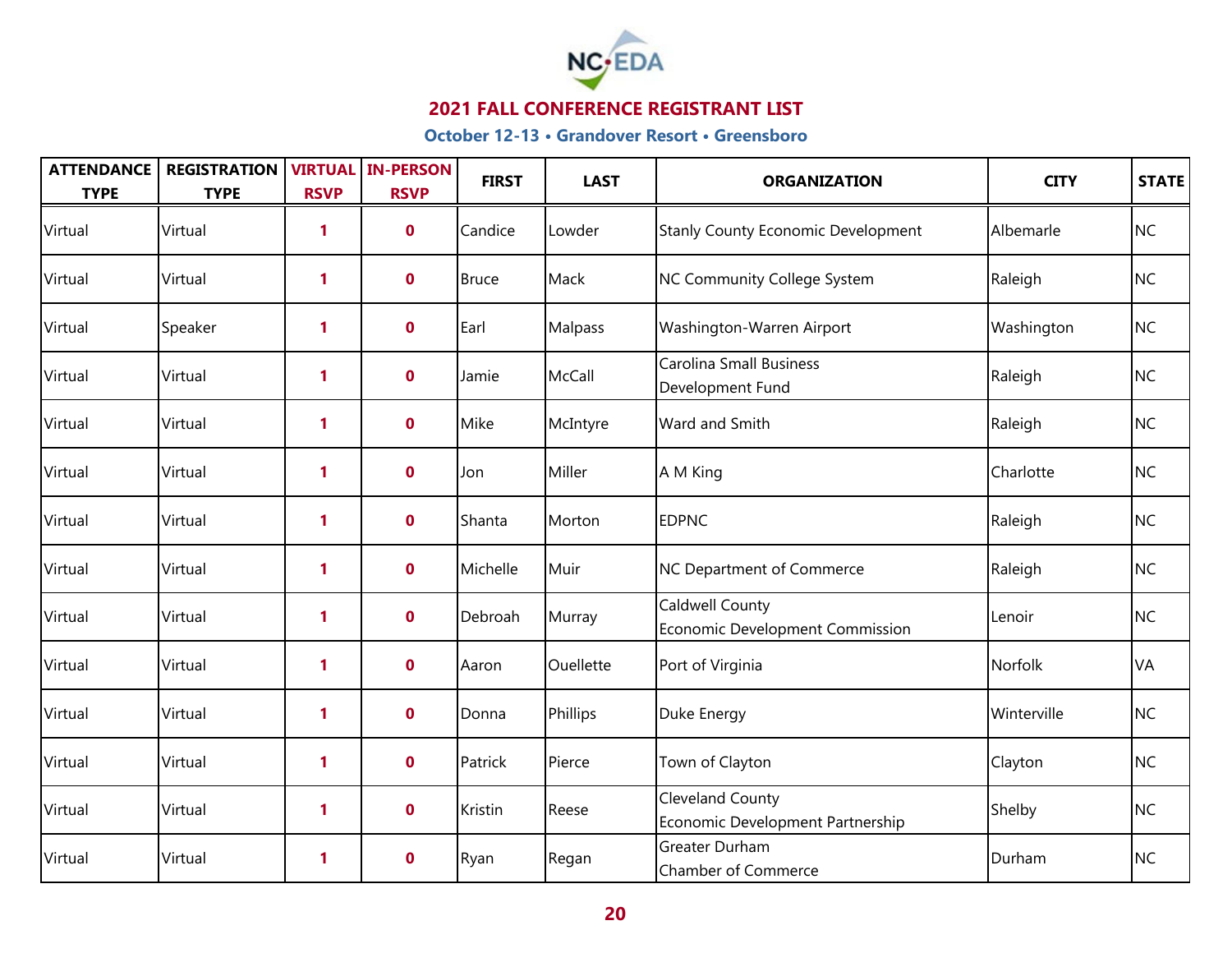

| <b>ATTENDANCE</b><br><b>TYPE</b> | <b>REGISTRATION</b><br><b>TYPE</b> | <b>RSVP</b>  | <b>VIRTUAL IN-PERSON</b><br><b>RSVP</b> | <b>FIRST</b> | <b>LAST</b> | <b>ORGANIZATION</b>                                       | <b>CITY</b> | STATE     |
|----------------------------------|------------------------------------|--------------|-----------------------------------------|--------------|-------------|-----------------------------------------------------------|-------------|-----------|
| Virtual                          | Virtual                            | 1            | $\mathbf 0$                             | Candice      | Lowder      | <b>Stanly County Economic Development</b>                 | Albemarle   | <b>NC</b> |
| Virtual                          | Virtual                            | 1            | $\mathbf 0$                             | <b>Bruce</b> | Mack        | NC Community College System                               | Raleigh     | <b>NC</b> |
| Virtual                          | Speaker                            | $\mathbf{1}$ | $\mathbf{0}$                            | Earl         | Malpass     | Washington-Warren Airport                                 | Washington  | <b>NC</b> |
| Virtual                          | Virtual                            | $\mathbf{1}$ | $\mathbf 0$                             | Jamie        | McCall      | <b>Carolina Small Business</b><br>Development Fund        | Raleigh     | <b>NC</b> |
| Virtual                          | Virtual                            | $\mathbf{1}$ | $\mathbf 0$                             | Mike         | McIntyre    | Ward and Smith                                            | Raleigh     | <b>NC</b> |
| Virtual                          | Virtual                            | 1            | $\mathbf 0$                             | Jon          | Miller      | A M King                                                  | Charlotte   | <b>NC</b> |
| Virtual                          | Virtual                            | $\mathbf{1}$ | $\mathbf 0$                             | Shanta       | Morton      | <b>EDPNC</b>                                              | Raleigh     | <b>NC</b> |
| Virtual                          | Virtual                            | 1            | $\mathbf{0}$                            | Michelle     | Muir        | <b>NC Department of Commerce</b>                          | Raleigh     | <b>NC</b> |
| Virtual                          | Virtual                            | 1            | $\mathbf{0}$                            | Debroah      | Murray      | <b>Caldwell County</b><br>Economic Development Commission | Lenoir      | <b>NC</b> |
| Virtual                          | Virtual                            | $\mathbf{1}$ | $\mathbf{0}$                            | Aaron        | Ouellette   | Port of Virginia                                          | Norfolk     | VA        |
| Virtual                          | Virtual                            | $\mathbf{1}$ | $\mathbf 0$                             | Donna        | Phillips    | Duke Energy                                               | Winterville | <b>NC</b> |
| Virtual                          | Virtual                            | $\mathbf{1}$ | $\mathbf 0$                             | Patrick      | Pierce      | Town of Clayton                                           | Clayton     | <b>NC</b> |
| Virtual                          | Virtual                            | 1            | $\mathbf 0$                             | Kristin      | Reese       | Cleveland County<br>Economic Development Partnership      | Shelby      | <b>NC</b> |
| Virtual                          | Virtual                            | 1            | $\mathbf 0$                             | Ryan         | Regan       | Greater Durham<br><b>Chamber of Commerce</b>              | Durham      | <b>NC</b> |